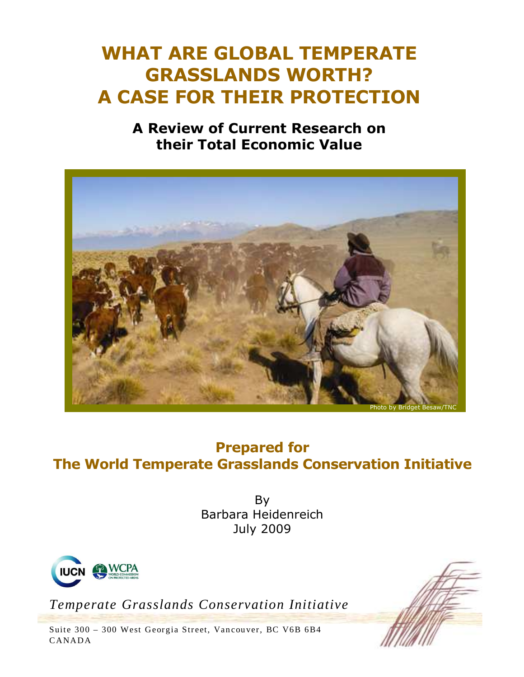# **WHAT ARE GLOBAL TEMPERATE GRASSLANDS WORTH? A CASE FOR THEIR PROTECTION**

## **A Review of Current Research on their Total Economic Value**



## **Prepared for The World Temperate Grasslands Conservation Initiative**

By Barbara Heidenreich July 2009



*Temperate Grasslands Conservation Initiative* 

Suite 300 - 300 West Georgia Street, Vancouver, BC V6B 6B4 CANADA

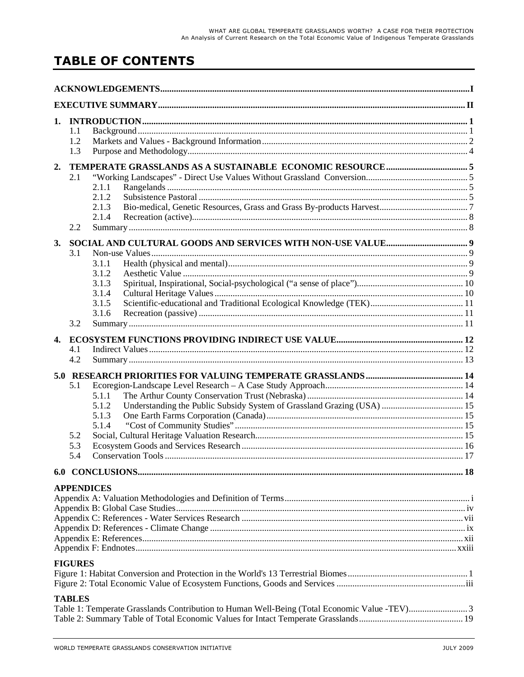## **TABLE OF CONTENTS**

| 1. | 1.1<br>1.2<br>1.3        |                                                    |  |
|----|--------------------------|----------------------------------------------------|--|
| 2. | 2.1<br>2.2               | 2.1.1<br>2.1.2<br>2.1.3<br>2.1.4                   |  |
| 3. | 3.1<br>3.2               | 3.1.1<br>3.1.2<br>3.1.3<br>3.1.4<br>3.1.5<br>3.1.6 |  |
| 4. | 4.1<br>4.2               |                                                    |  |
|    | 5.1<br>5.2<br>5.3<br>5.4 | 5.1.1<br>5.1.2<br>5.1.3<br>5.1.4                   |  |
|    |                          |                                                    |  |
|    |                          | <b>APPENDICES</b>                                  |  |
|    | <b>FIGURES</b>           |                                                    |  |
|    | <b>TABLES</b>            |                                                    |  |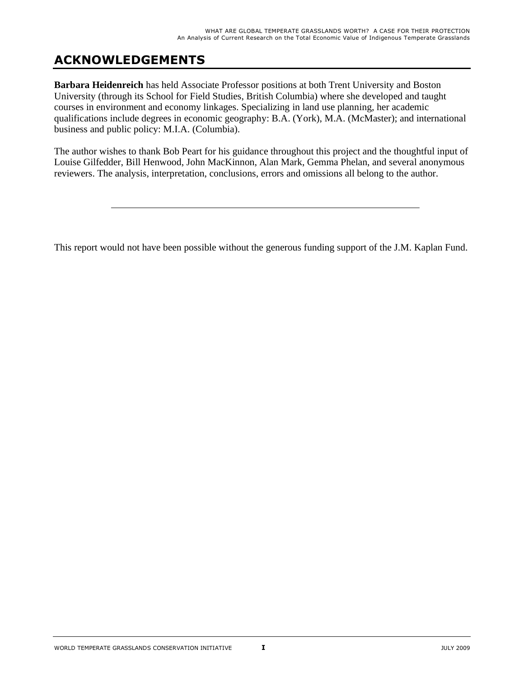## **ACKNOWLEDGEMENTS**

**Barbara Heidenreich** has held Associate Professor positions at both Trent University and Boston University (through its School for Field Studies, British Columbia) where she developed and taught courses in environment and economy linkages. Specializing in land use planning, her academic qualifications include degrees in economic geography: B.A. (York), M.A. (McMaster); and international business and public policy: M.I.A. (Columbia).

The author wishes to thank Bob Peart for his guidance throughout this project and the thoughtful input of Louise Gilfedder, Bill Henwood, John MacKinnon, Alan Mark, Gemma Phelan, and several anonymous reviewers. The analysis, interpretation, conclusions, errors and omissions all belong to the author.

This report would not have been possible without the generous funding support of the J.M. Kaplan Fund.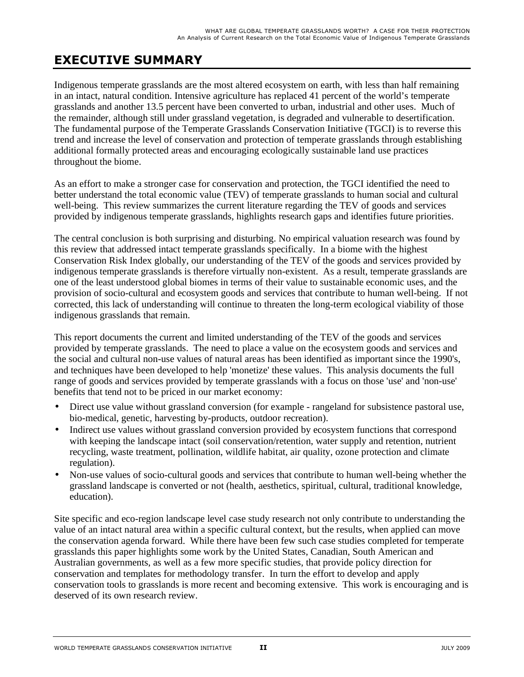## **EXECUTIVE SUMMARY**

Indigenous temperate grasslands are the most altered ecosystem on earth, with less than half remaining in an intact, natural condition. Intensive agriculture has replaced 41 percent of the world's temperate grasslands and another 13.5 percent have been converted to urban, industrial and other uses. Much of the remainder, although still under grassland vegetation, is degraded and vulnerable to desertification. The fundamental purpose of the Temperate Grasslands Conservation Initiative (TGCI) is to reverse this trend and increase the level of conservation and protection of temperate grasslands through establishing additional formally protected areas and encouraging ecologically sustainable land use practices throughout the biome.

As an effort to make a stronger case for conservation and protection, the TGCI identified the need to better understand the total economic value (TEV) of temperate grasslands to human social and cultural well-being. This review summarizes the current literature regarding the TEV of goods and services provided by indigenous temperate grasslands, highlights research gaps and identifies future priorities.

The central conclusion is both surprising and disturbing. No empirical valuation research was found by this review that addressed intact temperate grasslands specifically. In a biome with the highest Conservation Risk Index globally, our understanding of the TEV of the goods and services provided by indigenous temperate grasslands is therefore virtually non-existent. As a result, temperate grasslands are one of the least understood global biomes in terms of their value to sustainable economic uses, and the provision of socio-cultural and ecosystem goods and services that contribute to human well-being. If not corrected, this lack of understanding will continue to threaten the long-term ecological viability of those indigenous grasslands that remain.

This report documents the current and limited understanding of the TEV of the goods and services provided by temperate grasslands. The need to place a value on the ecosystem goods and services and the social and cultural non-use values of natural areas has been identified as important since the 1990's, and techniques have been developed to help 'monetize' these values. This analysis documents the full range of goods and services provided by temperate grasslands with a focus on those 'use' and 'non-use' benefits that tend not to be priced in our market economy:

- Direct use value without grassland conversion (for example rangeland for subsistence pastoral use, bio-medical, genetic, harvesting by-products, outdoor recreation).
- Indirect use values without grassland conversion provided by ecosystem functions that correspond with keeping the landscape intact (soil conservation/retention, water supply and retention, nutrient recycling, waste treatment, pollination, wildlife habitat, air quality, ozone protection and climate regulation).
- Non-use values of socio-cultural goods and services that contribute to human well-being whether the grassland landscape is converted or not (health, aesthetics, spiritual, cultural, traditional knowledge, education).

Site specific and eco-region landscape level case study research not only contribute to understanding the value of an intact natural area within a specific cultural context, but the results, when applied can move the conservation agenda forward. While there have been few such case studies completed for temperate grasslands this paper highlights some work by the United States, Canadian, South American and Australian governments, as well as a few more specific studies, that provide policy direction for conservation and templates for methodology transfer. In turn the effort to develop and apply conservation tools to grasslands is more recent and becoming extensive. This work is encouraging and is deserved of its own research review.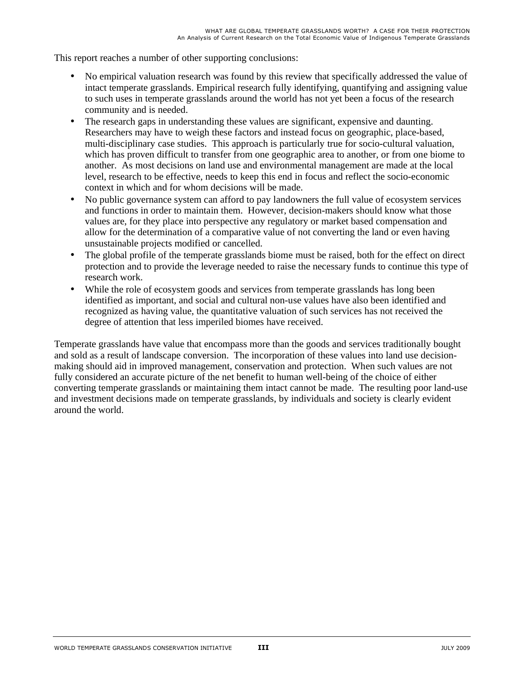This report reaches a number of other supporting conclusions:

- No empirical valuation research was found by this review that specifically addressed the value of intact temperate grasslands. Empirical research fully identifying, quantifying and assigning value to such uses in temperate grasslands around the world has not yet been a focus of the research community and is needed.
- The research gaps in understanding these values are significant, expensive and daunting. Researchers may have to weigh these factors and instead focus on geographic, place-based, multi-disciplinary case studies. This approach is particularly true for socio-cultural valuation, which has proven difficult to transfer from one geographic area to another, or from one biome to another. As most decisions on land use and environmental management are made at the local level, research to be effective, needs to keep this end in focus and reflect the socio-economic context in which and for whom decisions will be made.
- No public governance system can afford to pay landowners the full value of ecosystem services and functions in order to maintain them. However, decision-makers should know what those values are, for they place into perspective any regulatory or market based compensation and allow for the determination of a comparative value of not converting the land or even having unsustainable projects modified or cancelled.
- The global profile of the temperate grasslands biome must be raised, both for the effect on direct protection and to provide the leverage needed to raise the necessary funds to continue this type of research work.
- While the role of ecosystem goods and services from temperate grasslands has long been identified as important, and social and cultural non-use values have also been identified and recognized as having value, the quantitative valuation of such services has not received the degree of attention that less imperiled biomes have received.

Temperate grasslands have value that encompass more than the goods and services traditionally bought and sold as a result of landscape conversion. The incorporation of these values into land use decisionmaking should aid in improved management, conservation and protection. When such values are not fully considered an accurate picture of the net benefit to human well-being of the choice of either converting temperate grasslands or maintaining them intact cannot be made. The resulting poor land-use and investment decisions made on temperate grasslands, by individuals and society is clearly evident around the world.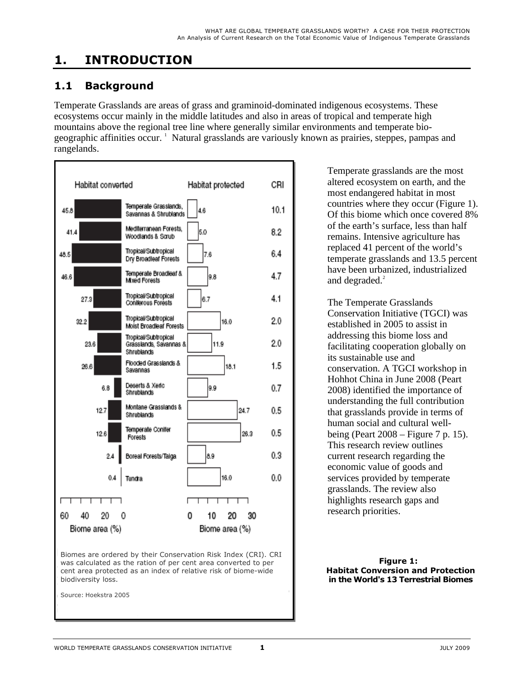## **1. INTRODUCTION**

### **1.1 Background**

Temperate Grasslands are areas of grass and graminoid-dominated indigenous ecosystems. These ecosystems occur mainly in the middle latitudes and also in areas of tropical and temperate high mountains above the regional tree line where generally similar environments and temperate biogeographic affinities occur.<sup>1</sup> Natural grasslands are variously known as prairies, steppes, pampas and rangelands.



Temperate grasslands are the most altered ecosystem on earth, and the most endangered habitat in most countries where they occur (Figure 1). Of this biome which once covered 8% of the earth's surface, less than half remains. Intensive agriculture has replaced 41 percent of the world's temperate grasslands and 13.5 percent have been urbanized, industrialized and degraded. $^{2}$ 

The Temperate Grasslands Conservation Initiative (TGCI) was established in 2005 to assist in addressing this biome loss and facilitating cooperation globally on its sustainable use and conservation. A TGCI workshop in Hohhot China in June 2008 (Peart 2008) identified the importance of understanding the full contribution that grasslands provide in terms of human social and cultural wellbeing (Peart 2008 – Figure 7 p. 15). This research review outlines current research regarding the economic value of goods and services provided by temperate grasslands. The review also highlights research gaps and research priorities.

**Figure 1: Habitat Conversion and Protection in the World's 13 Terrestrial Biomes**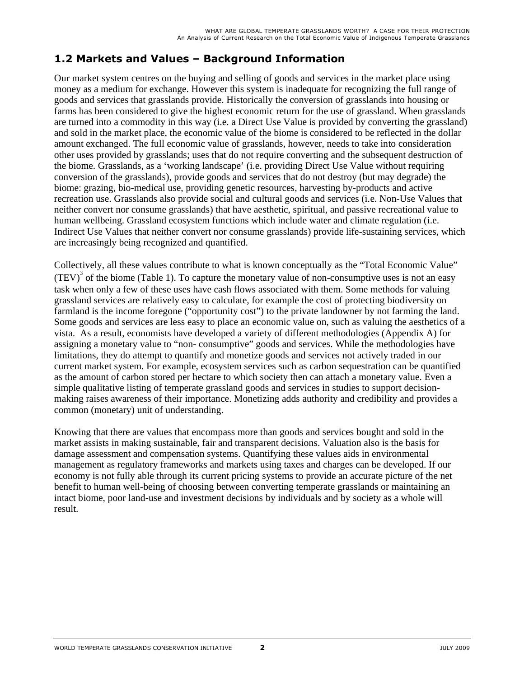### **1.2 Markets and Values – Background Information**

Our market system centres on the buying and selling of goods and services in the market place using money as a medium for exchange. However this system is inadequate for recognizing the full range of goods and services that grasslands provide. Historically the conversion of grasslands into housing or farms has been considered to give the highest economic return for the use of grassland. When grasslands are turned into a commodity in this way (i.e. a Direct Use Value is provided by converting the grassland) and sold in the market place, the economic value of the biome is considered to be reflected in the dollar amount exchanged. The full economic value of grasslands, however, needs to take into consideration other uses provided by grasslands; uses that do not require converting and the subsequent destruction of the biome. Grasslands, as a 'working landscape' (i.e. providing Direct Use Value without requiring conversion of the grasslands), provide goods and services that do not destroy (but may degrade) the biome: grazing, bio-medical use, providing genetic resources, harvesting by-products and active recreation use. Grasslands also provide social and cultural goods and services (i.e. Non-Use Values that neither convert nor consume grasslands) that have aesthetic, spiritual, and passive recreational value to human wellbeing. Grassland ecosystem functions which include water and climate regulation (i.e. Indirect Use Values that neither convert nor consume grasslands) provide life-sustaining services, which are increasingly being recognized and quantified.

Collectively, all these values contribute to what is known conceptually as the "Total Economic Value"  $(TEV)^3$  of the biome (Table 1). To capture the monetary value of non-consumptive uses is not an easy task when only a few of these uses have cash flows associated with them. Some methods for valuing grassland services are relatively easy to calculate, for example the cost of protecting biodiversity on farmland is the income foregone ("opportunity cost") to the private landowner by not farming the land. Some goods and services are less easy to place an economic value on, such as valuing the aesthetics of a vista. As a result, economists have developed a variety of different methodologies (Appendix A) for assigning a monetary value to "non- consumptive" goods and services. While the methodologies have limitations, they do attempt to quantify and monetize goods and services not actively traded in our current market system. For example, ecosystem services such as carbon sequestration can be quantified as the amount of carbon stored per hectare to which society then can attach a monetary value. Even a simple qualitative listing of temperate grassland goods and services in studies to support decisionmaking raises awareness of their importance. Monetizing adds authority and credibility and provides a common (monetary) unit of understanding.

Knowing that there are values that encompass more than goods and services bought and sold in the market assists in making sustainable, fair and transparent decisions. Valuation also is the basis for damage assessment and compensation systems. Quantifying these values aids in environmental management as regulatory frameworks and markets using taxes and charges can be developed. If our economy is not fully able through its current pricing systems to provide an accurate picture of the net benefit to human well-being of choosing between converting temperate grasslands or maintaining an intact biome, poor land-use and investment decisions by individuals and by society as a whole will result.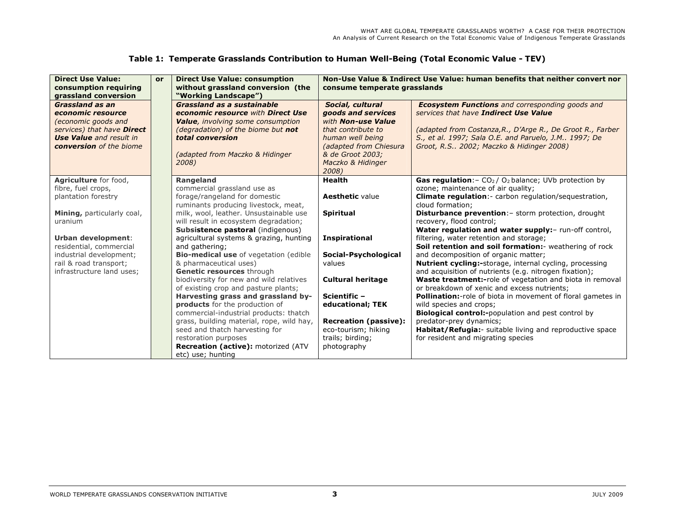| Table 1: Temperate Grasslands Contribution to Human Well-Being (Total Economic Value - TEV) |  |  |  |  |  |  |  |  |  |  |  |
|---------------------------------------------------------------------------------------------|--|--|--|--|--|--|--|--|--|--|--|
|---------------------------------------------------------------------------------------------|--|--|--|--|--|--|--|--|--|--|--|

| <b>Direct Use Value:</b><br>consumption requiring<br>grassland conversion                                                                                                   | or | <b>Direct Use Value: consumption</b><br>without grassland conversion (the<br>"Working Landscape")                                                                                                                         | consume temperate grasslands                                                                                                                                                       | Non-Use Value & Indirect Use Value: human benefits that neither convert nor                                                                                                                                                                                         |
|-----------------------------------------------------------------------------------------------------------------------------------------------------------------------------|----|---------------------------------------------------------------------------------------------------------------------------------------------------------------------------------------------------------------------------|------------------------------------------------------------------------------------------------------------------------------------------------------------------------------------|---------------------------------------------------------------------------------------------------------------------------------------------------------------------------------------------------------------------------------------------------------------------|
| <b>Grassland as an</b><br>economic resource<br>(economic goods and<br>services) that have <b>Direct</b><br><b>Use Value</b> and result in<br><b>conversion</b> of the biome |    | <b>Grassland as a sustainable</b><br>economic resource with Direct Use<br><b>Value</b> , involving some consumption<br>(degradation) of the biome but not<br>total conversion<br>(adapted from Maczko & Hidinger<br>2008) | Social, cultural<br>goods and services<br>with Non-use Value<br>that contribute to<br>human well being<br>(adapted from Chiesura<br>& de Groot 2003:<br>Maczko & Hidinger<br>2008) | <b>Ecosystem Functions</b> and corresponding goods and<br>services that have Indirect Use Value<br>(adapted from Costanza, R., D'Arge R., De Groot R., Farber<br>S., et al. 1997; Sala O.E. and Paruelo, J.M 1997; De<br>Groot, R.S., 2002; Maczko & Hidinger 2008) |
| Agriculture for food,                                                                                                                                                       |    | <b>Rangeland</b>                                                                                                                                                                                                          | <b>Health</b>                                                                                                                                                                      | <b>Gas regulation:</b> $-CO2/O2$ balance; UVb protection by                                                                                                                                                                                                         |
| fibre, fuel crops,                                                                                                                                                          |    | commercial grassland use as                                                                                                                                                                                               |                                                                                                                                                                                    | ozone; maintenance of air quality;                                                                                                                                                                                                                                  |
| plantation forestry                                                                                                                                                         |    | forage/rangeland for domestic<br>ruminants producing livestock, meat,                                                                                                                                                     | <b>Aesthetic value</b>                                                                                                                                                             | Climate regulation: - carbon regulation/sequestration,<br>cloud formation:                                                                                                                                                                                          |
| Mining, particularly coal,                                                                                                                                                  |    | milk, wool, leather. Unsustainable use                                                                                                                                                                                    | <b>Spiritual</b>                                                                                                                                                                   | Disturbance prevention: - storm protection, drought                                                                                                                                                                                                                 |
| uranium                                                                                                                                                                     |    | will result in ecosystem degradation;                                                                                                                                                                                     |                                                                                                                                                                                    | recovery, flood control;                                                                                                                                                                                                                                            |
|                                                                                                                                                                             |    | Subsistence pastoral (indigenous)                                                                                                                                                                                         |                                                                                                                                                                                    | Water regulation and water supply:- run-off control,                                                                                                                                                                                                                |
| Urban development:                                                                                                                                                          |    | agricultural systems & grazing, hunting                                                                                                                                                                                   | <b>Inspirational</b>                                                                                                                                                               | filtering, water retention and storage;                                                                                                                                                                                                                             |
| residential, commercial                                                                                                                                                     |    | and gathering;                                                                                                                                                                                                            |                                                                                                                                                                                    | Soil retention and soil formation: - weathering of rock                                                                                                                                                                                                             |
| industrial development;                                                                                                                                                     |    | <b>Bio-medical use</b> of vegetation (edible                                                                                                                                                                              | Social-Psychological                                                                                                                                                               | and decomposition of organic matter;                                                                                                                                                                                                                                |
| rail & road transport;<br>infrastructure land uses;                                                                                                                         |    | & pharmaceutical uses)<br>Genetic resources through                                                                                                                                                                       | values                                                                                                                                                                             | <b>Nutrient cycling:-</b> storage, internal cycling, processing                                                                                                                                                                                                     |
|                                                                                                                                                                             |    | biodiversity for new and wild relatives                                                                                                                                                                                   | <b>Cultural heritage</b>                                                                                                                                                           | and acquisition of nutrients (e.g. nitrogen fixation);<br>Waste treatment:-role of vegetation and biota in removal                                                                                                                                                  |
|                                                                                                                                                                             |    | of existing crop and pasture plants;                                                                                                                                                                                      |                                                                                                                                                                                    | or breakdown of xenic and excess nutrients;                                                                                                                                                                                                                         |
|                                                                                                                                                                             |    | Harvesting grass and grassland by-                                                                                                                                                                                        | Scientific -                                                                                                                                                                       | <b>Pollination:</b> -role of biota in movement of floral gametes in                                                                                                                                                                                                 |
|                                                                                                                                                                             |    | products for the production of                                                                                                                                                                                            | educational; TEK                                                                                                                                                                   | wild species and crops;                                                                                                                                                                                                                                             |
|                                                                                                                                                                             |    | commercial-industrial products: thatch                                                                                                                                                                                    |                                                                                                                                                                                    | Biological control:-population and pest control by                                                                                                                                                                                                                  |
|                                                                                                                                                                             |    | grass, building material, rope, wild hay,                                                                                                                                                                                 | <b>Recreation (passive):</b>                                                                                                                                                       | predator-prey dynamics;                                                                                                                                                                                                                                             |
|                                                                                                                                                                             |    | seed and thatch harvesting for                                                                                                                                                                                            | eco-tourism; hiking                                                                                                                                                                | Habitat/Refugia: - suitable living and reproductive space                                                                                                                                                                                                           |
|                                                                                                                                                                             |    | restoration purposes                                                                                                                                                                                                      | trails; birding;                                                                                                                                                                   | for resident and migrating species                                                                                                                                                                                                                                  |
|                                                                                                                                                                             |    | <b>Recreation (active):</b> motorized (ATV                                                                                                                                                                                | photography                                                                                                                                                                        |                                                                                                                                                                                                                                                                     |
|                                                                                                                                                                             |    | etc) use; hunting                                                                                                                                                                                                         |                                                                                                                                                                                    |                                                                                                                                                                                                                                                                     |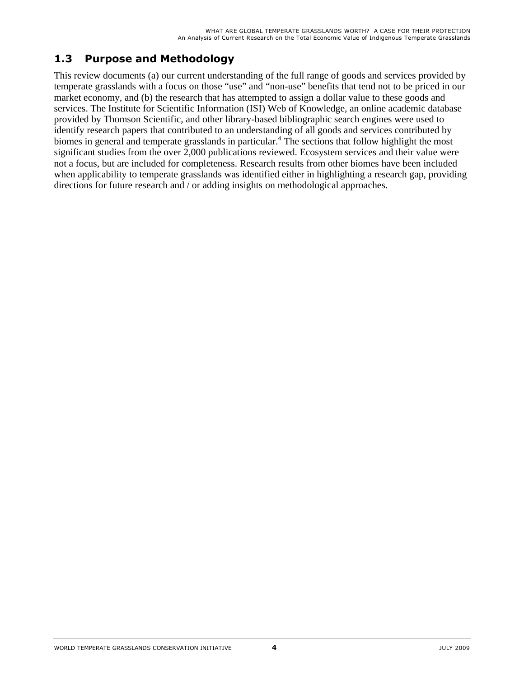### **1.3 Purpose and Methodology**

This review documents (a) our current understanding of the full range of goods and services provided by temperate grasslands with a focus on those "use" and "non-use" benefits that tend not to be priced in our market economy, and (b) the research that has attempted to assign a dollar value to these goods and services. The Institute for Scientific Information (ISI) Web of Knowledge, an online academic database provided by Thomson Scientific, and other library-based bibliographic search engines were used to identify research papers that contributed to an understanding of all goods and services contributed by biomes in general and temperate grasslands in particular.<sup>4</sup> The sections that follow highlight the most significant studies from the over 2,000 publications reviewed. Ecosystem services and their value were not a focus, but are included for completeness. Research results from other biomes have been included when applicability to temperate grasslands was identified either in highlighting a research gap, providing directions for future research and / or adding insights on methodological approaches.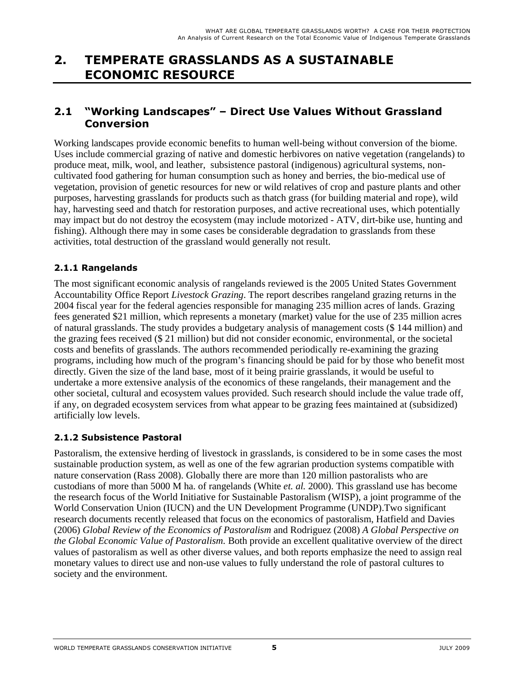### **2. TEMPERATE GRASSLANDS AS A SUSTAINABLE ECONOMIC RESOURCE**

### **2.1 "Working Landscapes" – Direct Use Values Without Grassland Conversion**

Working landscapes provide economic benefits to human well-being without conversion of the biome. Uses include commercial grazing of native and domestic herbivores on native vegetation (rangelands) to produce meat, milk, wool, and leather, subsistence pastoral (indigenous) agricultural systems, noncultivated food gathering for human consumption such as honey and berries, the bio-medical use of vegetation, provision of genetic resources for new or wild relatives of crop and pasture plants and other purposes, harvesting grasslands for products such as thatch grass (for building material and rope), wild hay, harvesting seed and thatch for restoration purposes, and active recreational uses, which potentially may impact but do not destroy the ecosystem (may include motorized - ATV, dirt-bike use, hunting and fishing). Although there may in some cases be considerable degradation to grasslands from these activities, total destruction of the grassland would generally not result.

#### **2.1.1 Rangelands**

The most significant economic analysis of rangelands reviewed is the 2005 United States Government Accountability Office Report *Livestock Grazing*. The report describes rangeland grazing returns in the 2004 fiscal year for the federal agencies responsible for managing 235 million acres of lands. Grazing fees generated \$21 million, which represents a monetary (market) value for the use of 235 million acres of natural grasslands. The study provides a budgetary analysis of management costs (\$ 144 million) and the grazing fees received (\$ 21 million) but did not consider economic, environmental, or the societal costs and benefits of grasslands. The authors recommended periodically re-examining the grazing programs, including how much of the program's financing should be paid for by those who benefit most directly. Given the size of the land base, most of it being prairie grasslands, it would be useful to undertake a more extensive analysis of the economics of these rangelands, their management and the other societal, cultural and ecosystem values provided. Such research should include the value trade off, if any, on degraded ecosystem services from what appear to be grazing fees maintained at (subsidized) artificially low levels.

#### **2.1.2 Subsistence Pastoral**

Pastoralism, the extensive herding of livestock in grasslands, is considered to be in some cases the most sustainable production system, as well as one of the few agrarian production systems compatible with nature conservation (Rass 2008). Globally there are more than 120 million pastoralists who are custodians of more than 5000 M ha. of rangelands (White *et. al.* 2000). This grassland use has become the research focus of the World Initiative for Sustainable Pastoralism (WISP), a joint programme of the World Conservation Union (IUCN) and the UN Development Programme (UNDP).Two significant research documents recently released that focus on the economics of pastoralism, Hatfield and Davies (2006) *Global Review of the Economics of Pastoralism* and Rodriguez (2008) *A Global Perspective on the Global Economic Value of Pastoralism.* Both provide an excellent qualitative overview of the direct values of pastoralism as well as other diverse values, and both reports emphasize the need to assign real monetary values to direct use and non-use values to fully understand the role of pastoral cultures to society and the environment.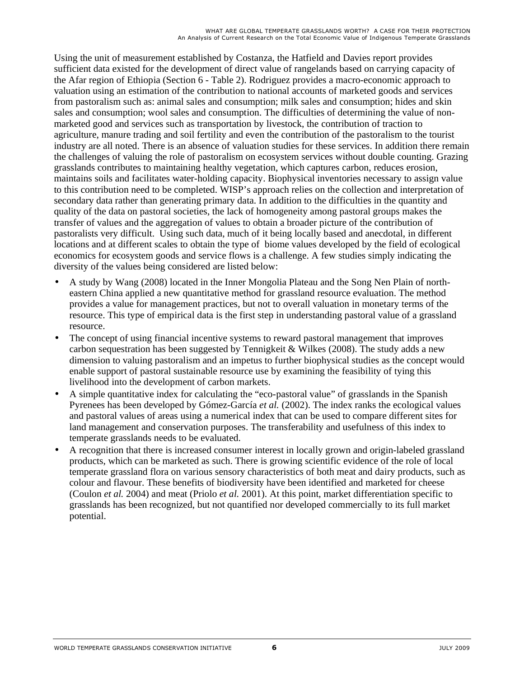Using the unit of measurement established by Costanza, the Hatfield and Davies report provides sufficient data existed for the development of direct value of rangelands based on carrying capacity of the Afar region of Ethiopia (Section 6 - Table 2). Rodriguez provides a macro-economic approach to valuation using an estimation of the contribution to national accounts of marketed goods and services from pastoralism such as: animal sales and consumption; milk sales and consumption; hides and skin sales and consumption; wool sales and consumption. The difficulties of determining the value of nonmarketed good and services such as transportation by livestock, the contribution of traction to agriculture, manure trading and soil fertility and even the contribution of the pastoralism to the tourist industry are all noted. There is an absence of valuation studies for these services. In addition there remain the challenges of valuing the role of pastoralism on ecosystem services without double counting. Grazing grasslands contributes to maintaining healthy vegetation, which captures carbon, reduces erosion, maintains soils and facilitates water-holding capacity. Biophysical inventories necessary to assign value to this contribution need to be completed. WISP's approach relies on the collection and interpretation of secondary data rather than generating primary data. In addition to the difficulties in the quantity and quality of the data on pastoral societies, the lack of homogeneity among pastoral groups makes the transfer of values and the aggregation of values to obtain a broader picture of the contribution of pastoralists very difficult. Using such data, much of it being locally based and anecdotal, in different locations and at different scales to obtain the type of biome values developed by the field of ecological economics for ecosystem goods and service flows is a challenge. A few studies simply indicating the diversity of the values being considered are listed below:

- A study by Wang (2008) located in the Inner Mongolia Plateau and the Song Nen Plain of northeastern China applied a new quantitative method for grassland resource evaluation. The method provides a value for management practices, but not to overall valuation in monetary terms of the resource. This type of empirical data is the first step in understanding pastoral value of a grassland resource.
- The concept of using financial incentive systems to reward pastoral management that improves carbon sequestration has been suggested by Tennigkeit & Wilkes (2008). The study adds a new dimension to valuing pastoralism and an impetus to further biophysical studies as the concept would enable support of pastoral sustainable resource use by examining the feasibility of tying this livelihood into the development of carbon markets.
- A simple quantitative index for calculating the "eco-pastoral value" of grasslands in the Spanish Pyrenees has been developed by Gómez-García *et al.* (2002). The index ranks the ecological values and pastoral values of areas using a numerical index that can be used to compare different sites for land management and conservation purposes. The transferability and usefulness of this index to temperate grasslands needs to be evaluated.
- A recognition that there is increased consumer interest in locally grown and origin-labeled grassland products, which can be marketed as such. There is growing scientific evidence of the role of local temperate grassland flora on various sensory characteristics of both meat and dairy products, such as colour and flavour. These benefits of biodiversity have been identified and marketed for cheese (Coulon *et al.* 2004) and meat (Priolo *et al.* 2001). At this point, market differentiation specific to grasslands has been recognized, but not quantified nor developed commercially to its full market potential.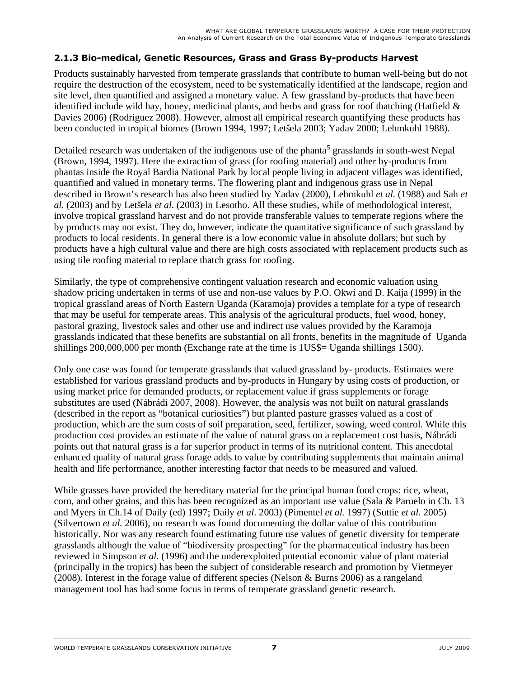#### **2.1.3 Bio-medical, Genetic Resources, Grass and Grass By-products Harvest**

Products sustainably harvested from temperate grasslands that contribute to human well-being but do not require the destruction of the ecosystem, need to be systematically identified at the landscape, region and site level, then quantified and assigned a monetary value. A few grassland by-products that have been identified include wild hay, honey, medicinal plants, and herbs and grass for roof thatching (Hatfield  $\&$ Davies 2006) (Rodriguez 2008). However, almost all empirical research quantifying these products has been conducted in tropical biomes (Brown 1994, 1997; Letšela 2003; Yadav 2000; Lehmkuhl 1988).

Detailed research was undertaken of the indigenous use of the phanta<sup>5</sup> grasslands in south-west Nepal (Brown, 1994, 1997). Here the extraction of grass (for roofing material) and other by-products from phantas inside the Royal Bardia National Park by local people living in adjacent villages was identified, quantified and valued in monetary terms. The flowering plant and indigenous grass use in Nepal described in Brown's research has also been studied by Yadav (2000), Lehmkuhl *et al.* (1988) and Sah *et al.* (2003) and by Letšela *et al.* (2003) in Lesotho. All these studies, while of methodological interest, involve tropical grassland harvest and do not provide transferable values to temperate regions where the by products may not exist. They do, however, indicate the quantitative significance of such grassland by products to local residents. In general there is a low economic value in absolute dollars; but such by products have a high cultural value and there are high costs associated with replacement products such as using tile roofing material to replace thatch grass for roofing.

Similarly, the type of comprehensive contingent valuation research and economic valuation using shadow pricing undertaken in terms of use and non-use values by P.O. Okwi and D. Kaija (1999) in the tropical grassland areas of North Eastern Uganda (Karamoja) provides a template for a type of research that may be useful for temperate areas. This analysis of the agricultural products, fuel wood, honey, pastoral grazing, livestock sales and other use and indirect use values provided by the Karamoja grasslands indicated that these benefits are substantial on all fronts, benefits in the magnitude of Uganda shillings 200,000,000 per month (Exchange rate at the time is 1US\$= Uganda shillings 1500).

Only one case was found for temperate grasslands that valued grassland by- products. Estimates were established for various grassland products and by-products in Hungary by using costs of production, or using market price for demanded products, or replacement value if grass supplements or forage substitutes are used (Nábrádi 2007, 2008). However, the analysis was not built on natural grasslands (described in the report as "botanical curiosities") but planted pasture grasses valued as a cost of production, which are the sum costs of soil preparation, seed, fertilizer, sowing, weed control. While this production cost provides an estimate of the value of natural grass on a replacement cost basis, Nábrádi points out that natural grass is a far superior product in terms of its nutritional content. This anecdotal enhanced quality of natural grass forage adds to value by contributing supplements that maintain animal health and life performance, another interesting factor that needs to be measured and valued.

While grasses have provided the hereditary material for the principal human food crops: rice, wheat, corn, and other grains, and this has been recognized as an important use value (Sala & Paruelo in Ch. 13 and Myers in Ch.14 of Daily (ed) 1997; Daily *et al*. 2003) (Pimentel *et al.* 1997) (Suttie *et al*. 2005) (Silvertown *et al.* 2006), no research was found documenting the dollar value of this contribution historically. Nor was any research found estimating future use values of genetic diversity for temperate grasslands although the value of "biodiversity prospecting" for the pharmaceutical industry has been reviewed in Simpson *et al.* (1996) and the underexploited potential economic value of plant material (principally in the tropics) has been the subject of considerable research and promotion by Vietmeyer (2008). Interest in the forage value of different species (Nelson & Burns 2006) as a rangeland management tool has had some focus in terms of temperate grassland genetic research.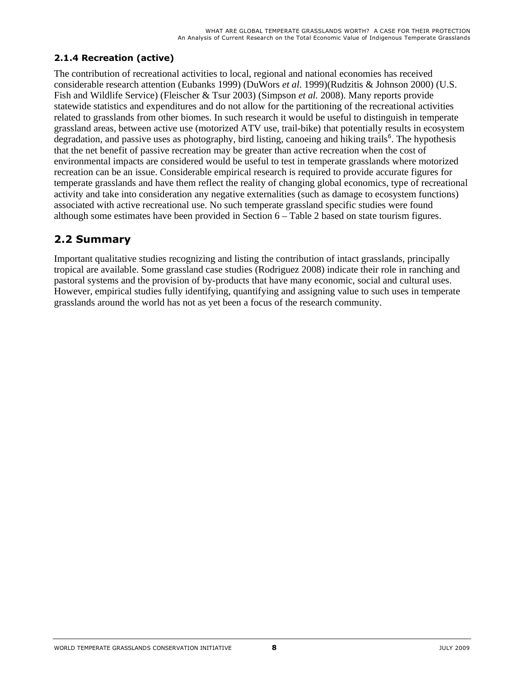### **2.1.4 Recreation (active)**

The contribution of recreational activities to local, regional and national economies has received considerable research attention (Eubanks 1999) (DuWors *et al*. 1999)(Rudzitis & Johnson 2000) (U.S. Fish and Wildlife Service) (Fleischer & Tsur 2003) (Simpson *et al.* 2008). Many reports provide statewide statistics and expenditures and do not allow for the partitioning of the recreational activities related to grasslands from other biomes. In such research it would be useful to distinguish in temperate grassland areas, between active use (motorized ATV use, trail-bike) that potentially results in ecosystem degradation, and passive uses as photography, bird listing, canoeing and hiking trails<sup>6</sup>. The hypothesis that the net benefit of passive recreation may be greater than active recreation when the cost of environmental impacts are considered would be useful to test in temperate grasslands where motorized recreation can be an issue. Considerable empirical research is required to provide accurate figures for temperate grasslands and have them reflect the reality of changing global economics, type of recreational activity and take into consideration any negative externalities (such as damage to ecosystem functions) associated with active recreational use. No such temperate grassland specific studies were found although some estimates have been provided in Section 6 – Table 2 based on state tourism figures.

### **2.2 Summary**

Important qualitative studies recognizing and listing the contribution of intact grasslands, principally tropical are available. Some grassland case studies (Rodriguez 2008) indicate their role in ranching and pastoral systems and the provision of by-products that have many economic, social and cultural uses. However, empirical studies fully identifying, quantifying and assigning value to such uses in temperate grasslands around the world has not as yet been a focus of the research community.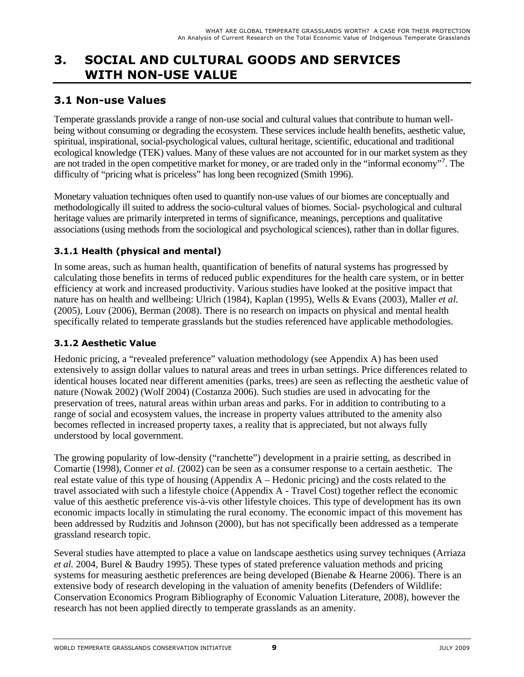## **3. SOCIAL AND CULTURAL GOODS AND SERVICES WITH NON-USE VALUE**

### **3.1 Non-use Values**

Temperate grasslands provide a range of non-use social and cultural values that contribute to human wellbeing without consuming or degrading the ecosystem. These services include health benefits, aesthetic value, spiritual, inspirational, social-psychological values, cultural heritage, scientific, educational and traditional ecological knowledge (TEK) values. Many of these values are not accounted for in our market system as they are not traded in the open competitive market for money, or are traded only in the "informal economy"<sup>7</sup> . The difficulty of "pricing what is priceless" has long been recognized (Smith 1996).

Monetary valuation techniques often used to quantify non-use values of our biomes are conceptually and methodologically ill suited to address the socio-cultural values of biomes. Social- psychological and cultural heritage values are primarily interpreted in terms of significance, meanings, perceptions and qualitative associations (using methods from the sociological and psychological sciences), rather than in dollar figures.

### **3.1.1 Health (physical and mental)**

In some areas, such as human health, quantification of benefits of natural systems has progressed by calculating those benefits in terms of reduced public expenditures for the health care system, or in better efficiency at work and increased productivity. Various studies have looked at the positive impact that nature has on health and wellbeing: Ulrich (1984), Kaplan (1995), Wells & Evans (2003), Maller *et al.*  (2005), Louv (2006), Berman (2008). There is no research on impacts on physical and mental health specifically related to temperate grasslands but the studies referenced have applicable methodologies.

#### **3.1.2 Aesthetic Value**

Hedonic pricing, a "revealed preference" valuation methodology (see Appendix A) has been used extensively to assign dollar values to natural areas and trees in urban settings. Price differences related to identical houses located near different amenities (parks, trees) are seen as reflecting the aesthetic value of nature (Nowak 2002) (Wolf 2004) (Costanza 2006). Such studies are used in advocating for the preservation of trees, natural areas within urban areas and parks. For in addition to contributing to a range of social and ecosystem values, the increase in property values attributed to the amenity also becomes reflected in increased property taxes, a reality that is appreciated, but not always fully understood by local government.

The growing popularity of low-density ("ranchette") development in a prairie setting, as described in Comartie (1998), Conner *et al.* (2002) can be seen as a consumer response to a certain aesthetic. The real estate value of this type of housing (Appendix A – Hedonic pricing) and the costs related to the travel associated with such a lifestyle choice (Appendix A - Travel Cost) together reflect the economic value of this aesthetic preference vis-à-vis other lifestyle choices. This type of development has its own economic impacts locally in stimulating the rural economy. The economic impact of this movement has been addressed by Rudzitis and Johnson (2000), but has not specifically been addressed as a temperate grassland research topic.

Several studies have attempted to place a value on landscape aesthetics using survey techniques (Arriaza *et al.* 2004, Burel & Baudry 1995). These types of stated preference valuation methods and pricing systems for measuring aesthetic preferences are being developed (Bienabe & Hearne 2006). There is an extensive body of research developing in the valuation of amenity benefits (Defenders of Wildlife: Conservation Economics Program Bibliography of Economic Valuation Literature, 2008), however the research has not been applied directly to temperate grasslands as an amenity.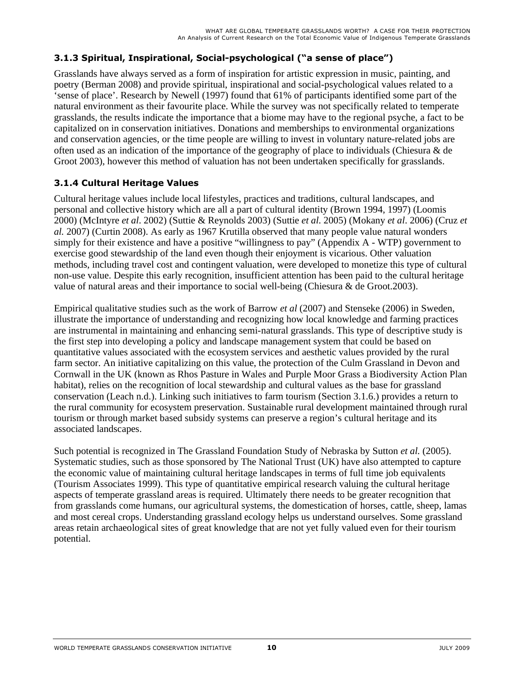### **3.1.3 Spiritual, Inspirational, Social-psychological ("a sense of place")**

Grasslands have always served as a form of inspiration for artistic expression in music, painting, and poetry (Berman 2008) and provide spiritual, inspirational and social-psychological values related to a 'sense of place'. Research by Newell (1997) found that 61% of participants identified some part of the natural environment as their favourite place. While the survey was not specifically related to temperate grasslands, the results indicate the importance that a biome may have to the regional psyche, a fact to be capitalized on in conservation initiatives. Donations and memberships to environmental organizations and conservation agencies, or the time people are willing to invest in voluntary nature-related jobs are often used as an indication of the importance of the geography of place to individuals (Chiesura & de Groot 2003), however this method of valuation has not been undertaken specifically for grasslands.

#### **3.1.4 Cultural Heritage Values**

Cultural heritage values include local lifestyles, practices and traditions, cultural landscapes, and personal and collective history which are all a part of cultural identity (Brown 1994, 1997) (Loomis 2000) (McIntyre *et al*. 2002) (Suttie & Reynolds 2003) (Suttie *et al*. 2005) (Mokany *et al*. 2006) (Cruz *et al.* 2007) (Curtin 2008). As early as 1967 Krutilla observed that many people value natural wonders simply for their existence and have a positive "willingness to pay" (Appendix A - WTP) government to exercise good stewardship of the land even though their enjoyment is vicarious. Other valuation methods, including travel cost and contingent valuation, were developed to monetize this type of cultural non-use value. Despite this early recognition, insufficient attention has been paid to the cultural heritage value of natural areas and their importance to social well-being (Chiesura & de Groot.2003).

Empirical qualitative studies such as the work of Barrow *et al* (2007) and Stenseke (2006) in Sweden, illustrate the importance of understanding and recognizing how local knowledge and farming practices are instrumental in maintaining and enhancing semi-natural grasslands. This type of descriptive study is the first step into developing a policy and landscape management system that could be based on quantitative values associated with the ecosystem services and aesthetic values provided by the rural farm sector. An initiative capitalizing on this value, the protection of the Culm Grassland in Devon and Cornwall in the UK (known as Rhos Pasture in Wales and Purple Moor Grass a Biodiversity Action Plan habitat), relies on the recognition of local stewardship and cultural values as the base for grassland conservation (Leach n.d.). Linking such initiatives to farm tourism (Section 3.1.6.) provides a return to the rural community for ecosystem preservation. Sustainable rural development maintained through rural tourism or through market based subsidy systems can preserve a region's cultural heritage and its associated landscapes.

Such potential is recognized in The Grassland Foundation Study of Nebraska by Sutton *et al.* (2005). Systematic studies, such as those sponsored by The National Trust (UK) have also attempted to capture the economic value of maintaining cultural heritage landscapes in terms of full time job equivalents (Tourism Associates 1999). This type of quantitative empirical research valuing the cultural heritage aspects of temperate grassland areas is required. Ultimately there needs to be greater recognition that from grasslands come humans, our agricultural systems, the domestication of horses, cattle, sheep, lamas and most cereal crops. Understanding grassland ecology helps us understand ourselves. Some grassland areas retain archaeological sites of great knowledge that are not yet fully valued even for their tourism potential.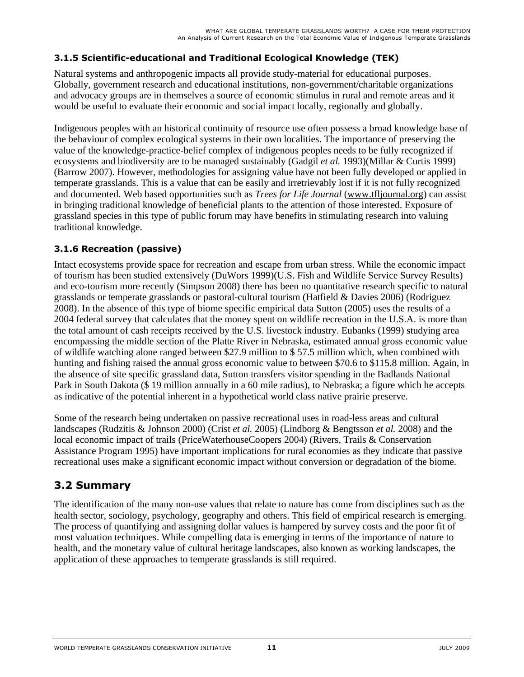#### **3.1.5 Scientific-educational and Traditional Ecological Knowledge (TEK)**

Natural systems and anthropogenic impacts all provide study-material for educational purposes. Globally, government research and educational institutions, non-government/charitable organizations and advocacy groups are in themselves a source of economic stimulus in rural and remote areas and it would be useful to evaluate their economic and social impact locally, regionally and globally.

Indigenous peoples with an historical continuity of resource use often possess a broad knowledge base of the behaviour of complex ecological systems in their own localities. The importance of preserving the value of the knowledge-practice-belief complex of indigenous peoples needs to be fully recognized if ecosystems and biodiversity are to be managed sustainably (Gadgil *et al.* 1993)(Millar & Curtis 1999) (Barrow 2007). However, methodologies for assigning value have not been fully developed or applied in temperate grasslands. This is a value that can be easily and irretrievably lost if it is not fully recognized and documented. Web based opportunities such as *Trees for Life Journal* (www.tfljournal.org) can assist in bringing traditional knowledge of beneficial plants to the attention of those interested. Exposure of grassland species in this type of public forum may have benefits in stimulating research into valuing traditional knowledge.

### **3.1.6 Recreation (passive)**

Intact ecosystems provide space for recreation and escape from urban stress. While the economic impact of tourism has been studied extensively (DuWors 1999)(U.S. Fish and Wildlife Service Survey Results) and eco-tourism more recently (Simpson 2008) there has been no quantitative research specific to natural grasslands or temperate grasslands or pastoral-cultural tourism (Hatfield & Davies 2006) (Rodriguez 2008). In the absence of this type of biome specific empirical data Sutton (2005) uses the results of a 2004 federal survey that calculates that the money spent on wildlife recreation in the U.S.A. is more than the total amount of cash receipts received by the U.S. livestock industry. Eubanks (1999) studying area encompassing the middle section of the Platte River in Nebraska, estimated annual gross economic value of wildlife watching alone ranged between \$27.9 million to \$ 57.5 million which, when combined with hunting and fishing raised the annual gross economic value to between \$70.6 to \$115.8 million. Again, in the absence of site specific grassland data, Sutton transfers visitor spending in the Badlands National Park in South Dakota (\$ 19 million annually in a 60 mile radius), to Nebraska; a figure which he accepts as indicative of the potential inherent in a hypothetical world class native prairie preserve.

Some of the research being undertaken on passive recreational uses in road-less areas and cultural landscapes (Rudzitis & Johnson 2000) (Crist *et al.* 2005) (Lindborg & Bengtsson *et al.* 2008) and the local economic impact of trails (PriceWaterhouseCoopers 2004) (Rivers, Trails & Conservation Assistance Program 1995) have important implications for rural economies as they indicate that passive recreational uses make a significant economic impact without conversion or degradation of the biome.

### **3.2 Summary**

The identification of the many non-use values that relate to nature has come from disciplines such as the health sector, sociology, psychology, geography and others. This field of empirical research is emerging. The process of quantifying and assigning dollar values is hampered by survey costs and the poor fit of most valuation techniques. While compelling data is emerging in terms of the importance of nature to health, and the monetary value of cultural heritage landscapes, also known as working landscapes, the application of these approaches to temperate grasslands is still required.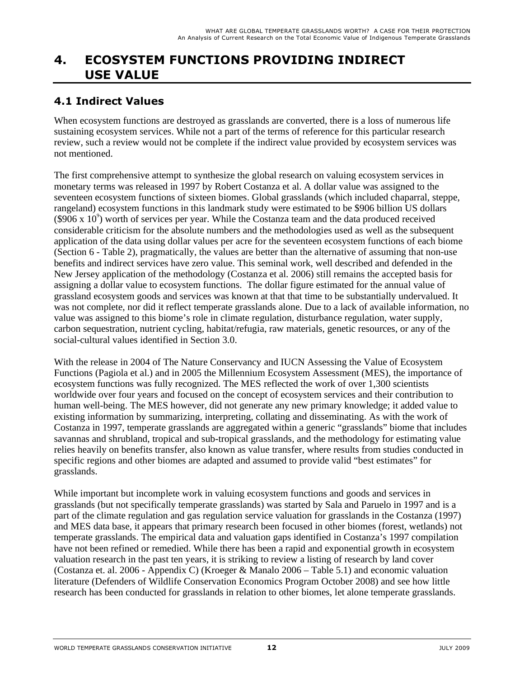### **4. ECOSYSTEM FUNCTIONS PROVIDING INDIRECT USE VALUE**

### **4.1 Indirect Values**

When ecosystem functions are destroyed as grasslands are converted, there is a loss of numerous life sustaining ecosystem services. While not a part of the terms of reference for this particular research review, such a review would not be complete if the indirect value provided by ecosystem services was not mentioned.

The first comprehensive attempt to synthesize the global research on valuing ecosystem services in monetary terms was released in 1997 by Robert Costanza et al. A dollar value was assigned to the seventeen ecosystem functions of sixteen biomes. Global grasslands (which included chaparral, steppe, rangeland) ecosystem functions in this landmark study were estimated to be \$906 billion US dollars  $(\$906 \times 10^{\circ})$  worth of services per year. While the Costanza team and the data produced received considerable criticism for the absolute numbers and the methodologies used as well as the subsequent application of the data using dollar values per acre for the seventeen ecosystem functions of each biome (Section 6 - Table 2), pragmatically, the values are better than the alternative of assuming that non-use benefits and indirect services have zero value. This seminal work, well described and defended in the New Jersey application of the methodology (Costanza et al. 2006) still remains the accepted basis for assigning a dollar value to ecosystem functions. The dollar figure estimated for the annual value of grassland ecosystem goods and services was known at that that time to be substantially undervalued. It was not complete, nor did it reflect temperate grasslands alone. Due to a lack of available information, no value was assigned to this biome's role in climate regulation, disturbance regulation, water supply, carbon sequestration, nutrient cycling, habitat/refugia, raw materials, genetic resources, or any of the social-cultural values identified in Section 3.0.

With the release in 2004 of The Nature Conservancy and IUCN Assessing the Value of Ecosystem Functions (Pagiola et al.) and in 2005 the Millennium Ecosystem Assessment (MES), the importance of ecosystem functions was fully recognized. The MES reflected the work of over 1,300 scientists worldwide over four years and focused on the concept of ecosystem services and their contribution to human well-being. The MES however, did not generate any new primary knowledge; it added value to existing information by summarizing, interpreting, collating and disseminating. As with the work of Costanza in 1997, temperate grasslands are aggregated within a generic "grasslands" biome that includes savannas and shrubland, tropical and sub-tropical grasslands, and the methodology for estimating value relies heavily on benefits transfer, also known as value transfer, where results from studies conducted in specific regions and other biomes are adapted and assumed to provide valid "best estimates" for grasslands.

While important but incomplete work in valuing ecosystem functions and goods and services in grasslands (but not specifically temperate grasslands) was started by Sala and Paruelo in 1997 and is a part of the climate regulation and gas regulation service valuation for grasslands in the Costanza (1997) and MES data base, it appears that primary research been focused in other biomes (forest, wetlands) not temperate grasslands. The empirical data and valuation gaps identified in Costanza's 1997 compilation have not been refined or remedied. While there has been a rapid and exponential growth in ecosystem valuation research in the past ten years, it is striking to review a listing of research by land cover (Costanza et. al. 2006 - Appendix C) (Kroeger & Manalo 2006 – Table 5.1) and economic valuation literature (Defenders of Wildlife Conservation Economics Program October 2008) and see how little research has been conducted for grasslands in relation to other biomes, let alone temperate grasslands.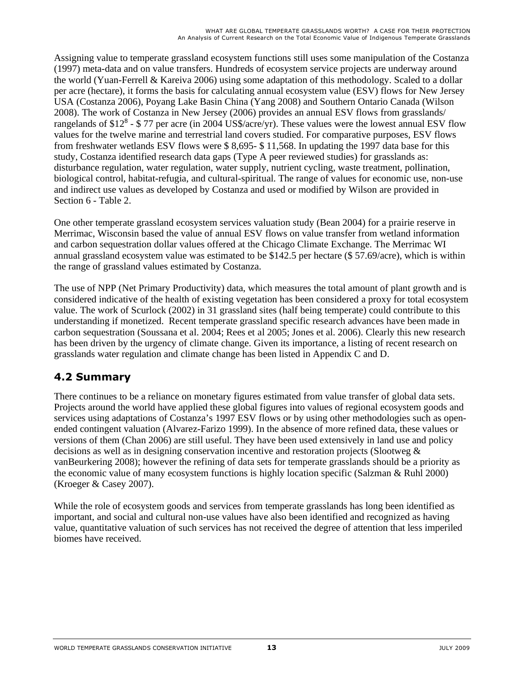Assigning value to temperate grassland ecosystem functions still uses some manipulation of the Costanza (1997) meta-data and on value transfers. Hundreds of ecosystem service projects are underway around the world (Yuan-Ferrell & Kareiva 2006) using some adaptation of this methodology. Scaled to a dollar per acre (hectare), it forms the basis for calculating annual ecosystem value (ESV) flows for New Jersey USA (Costanza 2006), Poyang Lake Basin China (Yang 2008) and Southern Ontario Canada (Wilson 2008). The work of Costanza in New Jersey (2006) provides an annual ESV flows from grasslands/ rangelands of \$12<sup>8</sup> - \$77 per acre (in 2004 US\$/acre/yr). These values were the lowest annual ESV flow values for the twelve marine and terrestrial land covers studied. For comparative purposes, ESV flows from freshwater wetlands ESV flows were \$ 8,695- \$ 11,568. In updating the 1997 data base for this study, Costanza identified research data gaps (Type A peer reviewed studies) for grasslands as: disturbance regulation, water regulation, water supply, nutrient cycling, waste treatment, pollination, biological control, habitat-refugia, and cultural-spiritual. The range of values for economic use, non-use and indirect use values as developed by Costanza and used or modified by Wilson are provided in Section 6 - Table 2.

One other temperate grassland ecosystem services valuation study (Bean 2004) for a prairie reserve in Merrimac, Wisconsin based the value of annual ESV flows on value transfer from wetland information and carbon sequestration dollar values offered at the Chicago Climate Exchange. The Merrimac WI annual grassland ecosystem value was estimated to be \$142.5 per hectare (\$ 57.69/acre), which is within the range of grassland values estimated by Costanza.

The use of NPP (Net Primary Productivity) data, which measures the total amount of plant growth and is considered indicative of the health of existing vegetation has been considered a proxy for total ecosystem value. The work of Scurlock (2002) in 31 grassland sites (half being temperate) could contribute to this understanding if monetized. Recent temperate grassland specific research advances have been made in carbon sequestration (Soussana et al. 2004; Rees et al 2005; Jones et al. 2006). Clearly this new research has been driven by the urgency of climate change. Given its importance, a listing of recent research on grasslands water regulation and climate change has been listed in Appendix C and D.

### **4.2 Summary**

There continues to be a reliance on monetary figures estimated from value transfer of global data sets. Projects around the world have applied these global figures into values of regional ecosystem goods and services using adaptations of Costanza's 1997 ESV flows or by using other methodologies such as openended contingent valuation (Alvarez-Farizo 1999). In the absence of more refined data, these values or versions of them (Chan 2006) are still useful. They have been used extensively in land use and policy decisions as well as in designing conservation incentive and restoration projects (Slootweg & vanBeurkering 2008); however the refining of data sets for temperate grasslands should be a priority as the economic value of many ecosystem functions is highly location specific (Salzman & Ruhl 2000) (Kroeger & Casey 2007).

While the role of ecosystem goods and services from temperate grasslands has long been identified as important, and social and cultural non-use values have also been identified and recognized as having value, quantitative valuation of such services has not received the degree of attention that less imperiled biomes have received.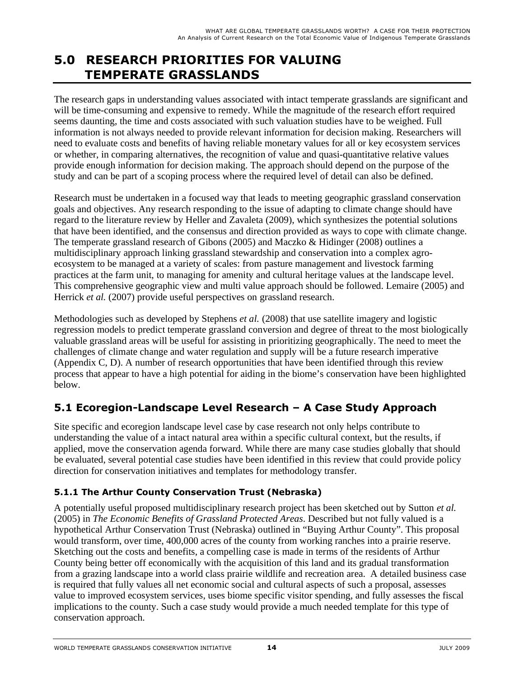### **5.0 RESEARCH PRIORITIES FOR VALUING TEMPERATE GRASSLANDS**

The research gaps in understanding values associated with intact temperate grasslands are significant and will be time-consuming and expensive to remedy. While the magnitude of the research effort required seems daunting, the time and costs associated with such valuation studies have to be weighed. Full information is not always needed to provide relevant information for decision making. Researchers will need to evaluate costs and benefits of having reliable monetary values for all or key ecosystem services or whether, in comparing alternatives, the recognition of value and quasi-quantitative relative values provide enough information for decision making. The approach should depend on the purpose of the study and can be part of a scoping process where the required level of detail can also be defined.

Research must be undertaken in a focused way that leads to meeting geographic grassland conservation goals and objectives. Any research responding to the issue of adapting to climate change should have regard to the literature review by Heller and Zavaleta (2009), which synthesizes the potential solutions that have been identified, and the consensus and direction provided as ways to cope with climate change. The temperate grassland research of Gibons (2005) and Maczko & Hidinger (2008) outlines a multidisciplinary approach linking grassland stewardship and conservation into a complex agroecosystem to be managed at a variety of scales: from pasture management and livestock farming practices at the farm unit, to managing for amenity and cultural heritage values at the landscape level. This comprehensive geographic view and multi value approach should be followed. Lemaire (2005) and Herrick *et al.* (2007) provide useful perspectives on grassland research.

Methodologies such as developed by Stephens *et al.* (2008) that use satellite imagery and logistic regression models to predict temperate grassland conversion and degree of threat to the most biologically valuable grassland areas will be useful for assisting in prioritizing geographically. The need to meet the challenges of climate change and water regulation and supply will be a future research imperative (Appendix C, D). A number of research opportunities that have been identified through this review process that appear to have a high potential for aiding in the biome's conservation have been highlighted below.

### **5.1 Ecoregion-Landscape Level Research – A Case Study Approach**

Site specific and ecoregion landscape level case by case research not only helps contribute to understanding the value of a intact natural area within a specific cultural context, but the results, if applied, move the conservation agenda forward. While there are many case studies globally that should be evaluated, several potential case studies have been identified in this review that could provide policy direction for conservation initiatives and templates for methodology transfer.

### **5.1.1 The Arthur County Conservation Trust (Nebraska)**

A potentially useful proposed multidisciplinary research project has been sketched out by Sutton *et al.* (2005) in *The Economic Benefits of Grassland Protected Areas*. Described but not fully valued is a hypothetical Arthur Conservation Trust (Nebraska) outlined in "Buying Arthur County". This proposal would transform, over time, 400,000 acres of the county from working ranches into a prairie reserve. Sketching out the costs and benefits, a compelling case is made in terms of the residents of Arthur County being better off economically with the acquisition of this land and its gradual transformation from a grazing landscape into a world class prairie wildlife and recreation area. A detailed business case is required that fully values all net economic social and cultural aspects of such a proposal, assesses value to improved ecosystem services, uses biome specific visitor spending, and fully assesses the fiscal implications to the county. Such a case study would provide a much needed template for this type of conservation approach.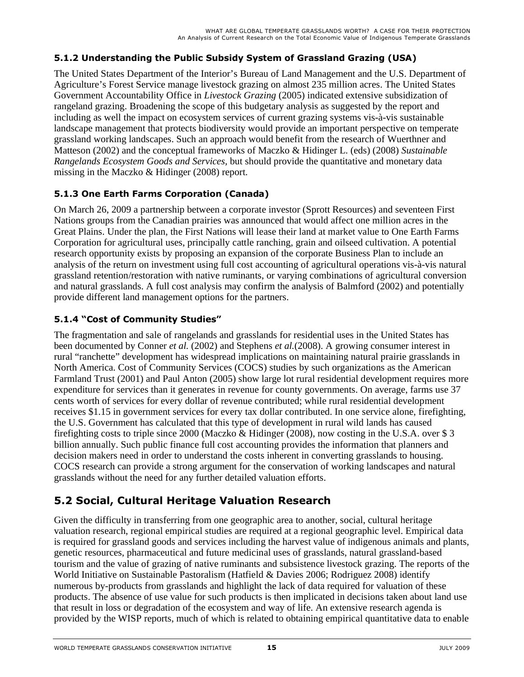#### **5.1.2 Understanding the Public Subsidy System of Grassland Grazing (USA)**

The United States Department of the Interior's Bureau of Land Management and the U.S. Department of Agriculture's Forest Service manage livestock grazing on almost 235 million acres. The United States Government Accountability Office in *Livestock Grazing* (2005) indicated extensive subsidization of rangeland grazing. Broadening the scope of this budgetary analysis as suggested by the report and including as well the impact on ecosystem services of current grazing systems vis-à-vis sustainable landscape management that protects biodiversity would provide an important perspective on temperate grassland working landscapes. Such an approach would benefit from the research of Wuerthner and Matteson (2002) and the conceptual frameworks of Maczko & Hidinger L. (eds) (2008) *Sustainable Rangelands Ecosystem Goods and Services,* but should provide the quantitative and monetary data missing in the Maczko & Hidinger (2008) report.

#### **5.1.3 One Earth Farms Corporation (Canada)**

On March 26, 2009 a partnership between a corporate investor (Sprott Resources) and seventeen First Nations groups from the Canadian prairies was announced that would affect one million acres in the Great Plains. Under the plan, the First Nations will lease their land at market value to One Earth Farms Corporation for agricultural uses, principally cattle ranching, grain and oilseed cultivation. A potential research opportunity exists by proposing an expansion of the corporate Business Plan to include an analysis of the return on investment using full cost accounting of agricultural operations vis-à-vis natural grassland retention/restoration with native ruminants, or varying combinations of agricultural conversion and natural grasslands. A full cost analysis may confirm the analysis of Balmford (2002) and potentially provide different land management options for the partners.

### **5.1.4 "Cost of Community Studies"**

The fragmentation and sale of rangelands and grasslands for residential uses in the United States has been documented by Conner *et al.* (2002) and Stephens *et al.*(2008). A growing consumer interest in rural "ranchette" development has widespread implications on maintaining natural prairie grasslands in North America. Cost of Community Services (COCS) studies by such organizations as the American Farmland Trust (2001) and Paul Anton (2005) show large lot rural residential development requires more expenditure for services than it generates in revenue for county governments. On average, farms use 37 cents worth of services for every dollar of revenue contributed; while rural residential development receives \$1.15 in government services for every tax dollar contributed. In one service alone, firefighting, the U.S. Government has calculated that this type of development in rural wild lands has caused firefighting costs to triple since 2000 (Maczko & Hidinger (2008), now costing in the U.S.A. over \$ 3 billion annually. Such public finance full cost accounting provides the information that planners and decision makers need in order to understand the costs inherent in converting grasslands to housing. COCS research can provide a strong argument for the conservation of working landscapes and natural grasslands without the need for any further detailed valuation efforts.

### **5.2 Social, Cultural Heritage Valuation Research**

Given the difficulty in transferring from one geographic area to another*,* social, cultural heritage valuation research, regional empirical studies are required at a regional geographic level. Empirical data is required for grassland goods and services including the harvest value of indigenous animals and plants, genetic resources, pharmaceutical and future medicinal uses of grasslands, natural grassland-based tourism and the value of grazing of native ruminants and subsistence livestock grazing. The reports of the World Initiative on Sustainable Pastoralism (Hatfield & Davies 2006; Rodriguez 2008) identify numerous by-products from grasslands and highlight the lack of data required for valuation of these products. The absence of use value for such products is then implicated in decisions taken about land use that result in loss or degradation of the ecosystem and way of life. An extensive research agenda is provided by the WISP reports, much of which is related to obtaining empirical quantitative data to enable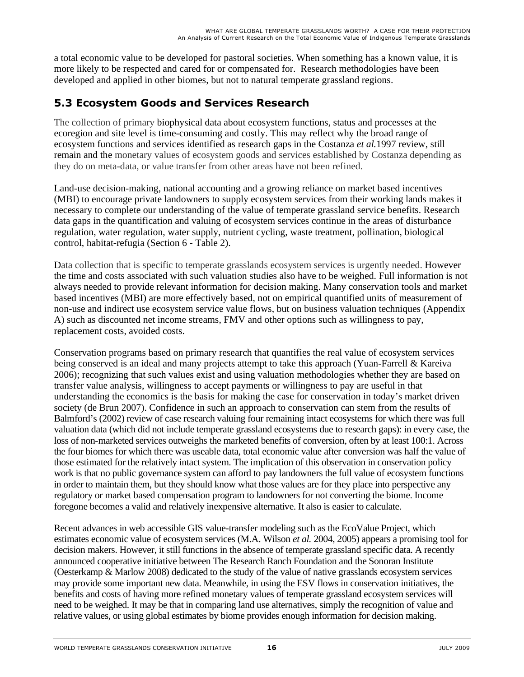a total economic value to be developed for pastoral societies. When something has a known value, it is more likely to be respected and cared for or compensated for. Research methodologies have been developed and applied in other biomes, but not to natural temperate grassland regions.

### **5.3 Ecosystem Goods and Services Research**

The collection of primary biophysical data about ecosystem functions, status and processes at the ecoregion and site level is time-consuming and costly. This may reflect why the broad range of ecosystem functions and services identified as research gaps in the Costanza *et al.*1997 review, still remain and the monetary values of ecosystem goods and services established by Costanza depending as they do on meta-data, or value transfer from other areas have not been refined.

Land-use decision-making, national accounting and a growing reliance on market based incentives (MBI) to encourage private landowners to supply ecosystem services from their working lands makes it necessary to complete our understanding of the value of temperate grassland service benefits. Research data gaps in the quantification and valuing of ecosystem services continue in the areas of disturbance regulation, water regulation, water supply, nutrient cycling, waste treatment, pollination, biological control, habitat-refugia (Section 6 - Table 2).

Data collection that is specific to temperate grasslands ecosystem services is urgently needed. However the time and costs associated with such valuation studies also have to be weighed. Full information is not always needed to provide relevant information for decision making. Many conservation tools and market based incentives (MBI) are more effectively based, not on empirical quantified units of measurement of non-use and indirect use ecosystem service value flows, but on business valuation techniques (Appendix A) such as discounted net income streams, FMV and other options such as willingness to pay, replacement costs, avoided costs.

Conservation programs based on primary research that quantifies the real value of ecosystem services being conserved is an ideal and many projects attempt to take this approach (Yuan-Farrell & Kareiva 2006); recognizing that such values exist and using valuation methodologies whether they are based on transfer value analysis, willingness to accept payments or willingness to pay are useful in that understanding the economics is the basis for making the case for conservation in today's market driven society (de Brun 2007). Confidence in such an approach to conservation can stem from the results of Balmford's (2002) review of case research valuing four remaining intact ecosystems for which there was full valuation data (which did not include temperate grassland ecosystems due to research gaps): in every case, the loss of non-marketed services outweighs the marketed benefits of conversion, often by at least 100:1. Across the four biomes for which there was useable data, total economic value after conversion was half the value of those estimated for the relatively intact system. The implication of this observation in conservation policy work is that no public governance system can afford to pay landowners the full value of ecosystem functions in order to maintain them, but they should know what those values are for they place into perspective any regulatory or market based compensation program to landowners for not converting the biome. Income foregone becomes a valid and relatively inexpensive alternative. It also is easier to calculate.

Recent advances in web accessible GIS value-transfer modeling such as the EcoValue Project, which estimates economic value of ecosystem services (M.A. Wilson *et al.* 2004, 2005) appears a promising tool for decision makers. However, it still functions in the absence of temperate grassland specific data. A recently announced cooperative initiative between The Research Ranch Foundation and the Sonoran Institute (Oesterkamp & Marlow 2008) dedicated to the study of the value of native grasslands ecosystem services may provide some important new data. Meanwhile, in using the ESV flows in conservation initiatives, the benefits and costs of having more refined monetary values of temperate grassland ecosystem services will need to be weighed. It may be that in comparing land use alternatives, simply the recognition of value and relative values, or using global estimates by biome provides enough information for decision making.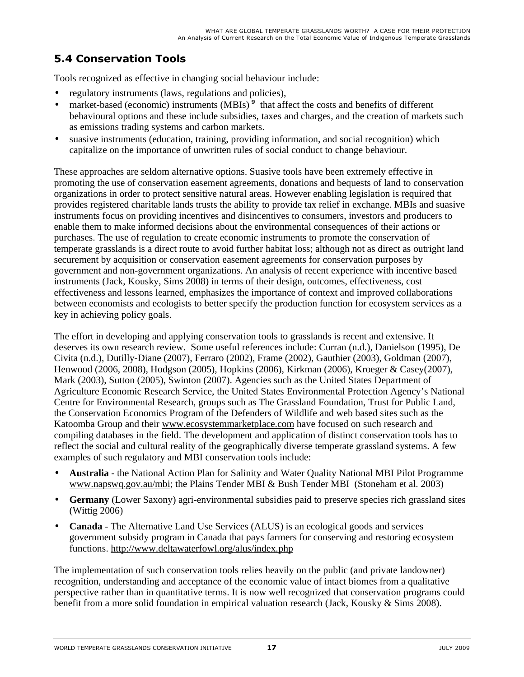### **5.4 Conservation Tools**

Tools recognized as effective in changing social behaviour include:

- regulatory instruments (laws, regulations and policies),
- market-based (economic) instruments (MBIs)<sup>9</sup> that affect the costs and benefits of different behavioural options and these include subsidies, taxes and charges, and the creation of markets such as emissions trading systems and carbon markets.
- suasive instruments (education, training, providing information, and social recognition) which capitalize on the importance of unwritten rules of social conduct to change behaviour.

These approaches are seldom alternative options. Suasive tools have been extremely effective in promoting the use of conservation easement agreements, donations and bequests of land to conservation organizations in order to protect sensitive natural areas. However enabling legislation is required that provides registered charitable lands trusts the ability to provide tax relief in exchange. MBIs and suasive instruments focus on providing incentives and disincentives to consumers, investors and producers to enable them to make informed decisions about the environmental consequences of their actions or purchases. The use of regulation to create economic instruments to promote the conservation of temperate grasslands is a direct route to avoid further habitat loss; although not as direct as outright land securement by acquisition or conservation easement agreements for conservation purposes by government and non-government organizations. An analysis of recent experience with incentive based instruments (Jack, Kousky, Sims 2008) in terms of their design, outcomes, effectiveness, cost effectiveness and lessons learned, emphasizes the importance of context and improved collaborations between economists and ecologists to better specify the production function for ecosystem services as a key in achieving policy goals.

The effort in developing and applying conservation tools to grasslands is recent and extensive. It deserves its own research review. Some useful references include: Curran (n.d.), Danielson (1995), De Civita (n.d.), Dutilly-Diane (2007), Ferraro (2002), Frame (2002), Gauthier (2003), Goldman (2007), Henwood (2006, 2008), Hodgson (2005), Hopkins (2006), Kirkman (2006), Kroeger & Casey(2007), Mark (2003), Sutton (2005), Swinton (2007). Agencies such as the United States Department of Agriculture Economic Research Service, the United States Environmental Protection Agency's National Centre for Environmental Research, groups such as The Grassland Foundation, Trust for Public Land, the Conservation Economics Program of the Defenders of Wildlife and web based sites such as the Katoomba Group and their www.ecosystemmarketplace.com have focused on such research and compiling databases in the field. The development and application of distinct conservation tools has to reflect the social and cultural reality of the geographically diverse temperate grassland systems. A few examples of such regulatory and MBI conservation tools include:

- **Australia** the National Action Plan for Salinity and Water Quality National MBI Pilot Programme www.napswq.gov.au/mbi; the Plains Tender MBI & Bush Tender MBI (Stoneham et al. 2003)
- **Germany** (Lower Saxony) agri-environmental subsidies paid to preserve species rich grassland sites (Wittig 2006)
- **Canada**  The Alternative Land Use Services (ALUS) is an ecological goods and services government subsidy program in Canada that pays farmers for conserving and restoring ecosystem functions. http://www.deltawaterfowl.org/alus/index.php

The implementation of such conservation tools relies heavily on the public (and private landowner) recognition, understanding and acceptance of the economic value of intact biomes from a qualitative perspective rather than in quantitative terms. It is now well recognized that conservation programs could benefit from a more solid foundation in empirical valuation research (Jack, Kousky & Sims 2008).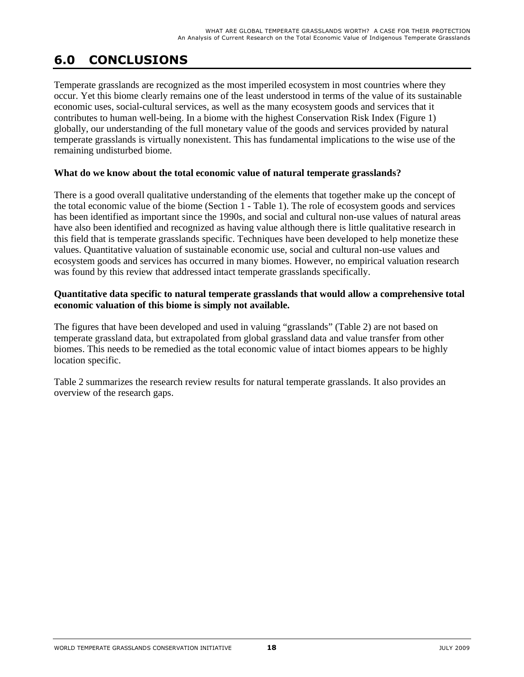## **6.0 CONCLUSIONS**

Temperate grasslands are recognized as the most imperiled ecosystem in most countries where they occur. Yet this biome clearly remains one of the least understood in terms of the value of its sustainable economic uses, social-cultural services, as well as the many ecosystem goods and services that it contributes to human well-being. In a biome with the highest Conservation Risk Index (Figure 1) globally, our understanding of the full monetary value of the goods and services provided by natural temperate grasslands is virtually nonexistent. This has fundamental implications to the wise use of the remaining undisturbed biome.

#### **What do we know about the total economic value of natural temperate grasslands?**

There is a good overall qualitative understanding of the elements that together make up the concept of the total economic value of the biome (Section 1 - Table 1). The role of ecosystem goods and services has been identified as important since the 1990s, and social and cultural non-use values of natural areas have also been identified and recognized as having value although there is little qualitative research in this field that is temperate grasslands specific. Techniques have been developed to help monetize these values. Quantitative valuation of sustainable economic use, social and cultural non-use values and ecosystem goods and services has occurred in many biomes. However, no empirical valuation research was found by this review that addressed intact temperate grasslands specifically.

#### **Quantitative data specific to natural temperate grasslands that would allow a comprehensive total economic valuation of this biome is simply not available.**

The figures that have been developed and used in valuing "grasslands" (Table 2) are not based on temperate grassland data, but extrapolated from global grassland data and value transfer from other biomes. This needs to be remedied as the total economic value of intact biomes appears to be highly location specific.

Table 2 summarizes the research review results for natural temperate grasslands. It also provides an overview of the research gaps.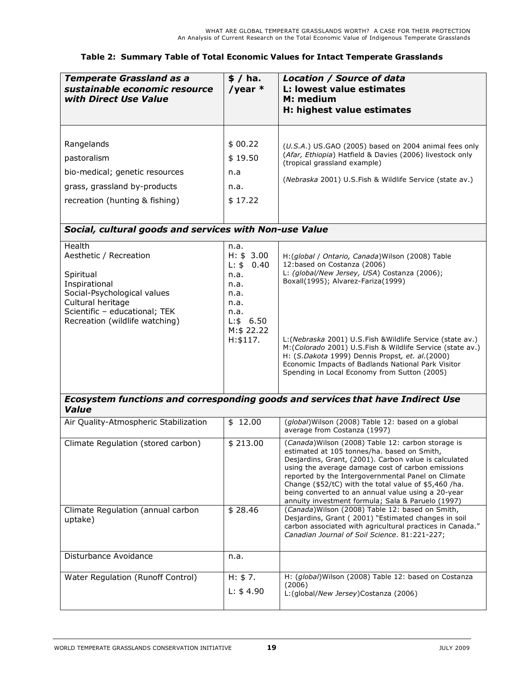| <b>Temperate Grassland as a</b><br>sustainable economic resource<br>with Direct Use Value                                                                                             | \$/ ha.<br>/year $*$                                                                                                    | Location / Source of data<br>L: lowest value estimates<br>M: medium<br>H: highest value estimates                                                                                                                                                                                                                                                                                                                                                             |
|---------------------------------------------------------------------------------------------------------------------------------------------------------------------------------------|-------------------------------------------------------------------------------------------------------------------------|---------------------------------------------------------------------------------------------------------------------------------------------------------------------------------------------------------------------------------------------------------------------------------------------------------------------------------------------------------------------------------------------------------------------------------------------------------------|
| Rangelands<br>pastoralism<br>bio-medical; genetic resources<br>grass, grassland by-products<br>recreation (hunting & fishing)                                                         | \$00.22<br>\$19.50<br>n.a<br>n.a.<br>\$17.22                                                                            | (U.S.A.) US.GAO (2005) based on 2004 animal fees only<br>(Afar, Ethiopia) Hatfield & Davies (2006) livestock only<br>(tropical grassland example)<br>(Nebraska 2001) U.S.Fish & Wildlife Service (state av.)                                                                                                                                                                                                                                                  |
| Social, cultural goods and services with Non-use Value                                                                                                                                |                                                                                                                         |                                                                                                                                                                                                                                                                                                                                                                                                                                                               |
| Health<br>Aesthetic / Recreation<br>Spiritual<br>Inspirational<br>Social-Psychological values<br>Cultural heritage<br>Scientific - educational; TEK<br>Recreation (wildlife watching) | n.a.<br>H: \$3.00<br>$L:$ \$<br>0.40<br>n.a.<br>n.a.<br>n.a.<br>n.a.<br>n.a.<br>$L:$ \$ 6.50<br>M:\$ 22.22<br>H: \$117. | H: (global / Ontario, Canada) Wilson (2008) Table<br>12:based on Costanza (2006)<br>L: (global/New Jersey, USA) Costanza (2006);<br>Boxall(1995); Alvarez-Fariza(1999)<br>L: (Nebraska 2001) U.S. Fish & Wildlife Service (state av.)<br>M: (Colorado 2001) U.S. Fish & Wildlife Service (state av.)<br>H: (S.Dakota 1999) Dennis Propst, et. al.(2000)<br>Economic Impacts of Badlands National Park Visitor<br>Spending in Local Economy from Sutton (2005) |
| <b>Value</b>                                                                                                                                                                          |                                                                                                                         | Ecosystem functions and corresponding goods and services that have Indirect Use                                                                                                                                                                                                                                                                                                                                                                               |
| Air Quality-Atmospheric Stabilization                                                                                                                                                 | \$12.00                                                                                                                 | (global) Wilson (2008) Table 12: based on a global<br>average from Costanza (1997)                                                                                                                                                                                                                                                                                                                                                                            |
| Climate Regulation (stored carbon)                                                                                                                                                    | \$213.00                                                                                                                | (Canada) Wilson (2008) Table 12: carbon storage is<br>estimated at 105 tonnes/ha. based on Smith,<br>Desjardins, Grant, (2001). Carbon value is calculated<br>using the average damage cost of carbon emissions<br>reported by the Intergovernmental Panel on Climate<br>Change (\$52/tC) with the total value of \$5,460 /ha.<br>being converted to an annual value using a 20-year<br>annuity investment formula; Sala & Paruelo (1997)                     |
| Climate Regulation (annual carbon<br>uptake)                                                                                                                                          | \$28.46                                                                                                                 | (Canada) Wilson (2008) Table 12: based on Smith,<br>Desjardins, Grant (2001) "Estimated changes in soil<br>carbon associated with agricultural practices in Canada."<br>Canadian Journal of Soil Science. 81:221-227;                                                                                                                                                                                                                                         |
| Disturbance Avoidance                                                                                                                                                                 | n.a.                                                                                                                    |                                                                                                                                                                                                                                                                                                                                                                                                                                                               |
| Water Regulation (Runoff Control)                                                                                                                                                     | H: \$7.<br>L: \$4.90                                                                                                    | H: (global) Wilson (2008) Table 12: based on Costanza<br>(2006)<br>L: (global/New Jersey) Costanza (2006)                                                                                                                                                                                                                                                                                                                                                     |

#### **Table 2: Summary Table of Total Economic Values for Intact Temperate Grasslands**

L:(global/*New Jersey*)Costanza (2006)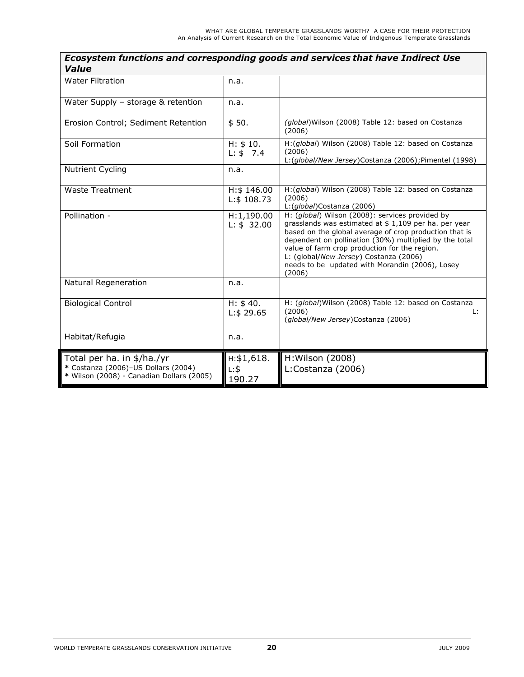| Value                                                                                                          |                                  |                                                                                                                                                                                                                                                                                                                                                                                      |
|----------------------------------------------------------------------------------------------------------------|----------------------------------|--------------------------------------------------------------------------------------------------------------------------------------------------------------------------------------------------------------------------------------------------------------------------------------------------------------------------------------------------------------------------------------|
| <b>Water Filtration</b>                                                                                        | n.a.                             |                                                                                                                                                                                                                                                                                                                                                                                      |
| Water Supply - storage & retention                                                                             | n.a.                             |                                                                                                                                                                                                                                                                                                                                                                                      |
| Erosion Control; Sediment Retention                                                                            | \$50.                            | (global) Wilson (2008) Table 12: based on Costanza<br>(2006)                                                                                                                                                                                                                                                                                                                         |
| Soil Formation                                                                                                 | H: \$10.<br>L: \$7.4             | H:(global) Wilson (2008) Table 12: based on Costanza<br>(2006)<br>L: (global/New Jersey)Costanza (2006); Pimentel (1998)                                                                                                                                                                                                                                                             |
| <b>Nutrient Cycling</b>                                                                                        | n.a.                             |                                                                                                                                                                                                                                                                                                                                                                                      |
| <b>Waste Treatment</b>                                                                                         | H: \$ 146.00<br>L: \$108.73      | H:(global) Wilson (2008) Table 12: based on Costanza<br>(2006)<br>L: (global)Costanza (2006)                                                                                                                                                                                                                                                                                         |
| Pollination -                                                                                                  | H:1,190.00<br>L: \$32.00         | H: (global) Wilson (2008): services provided by<br>grasslands was estimated at \$ 1,109 per ha. per year<br>based on the global average of crop production that is<br>dependent on pollination (30%) multiplied by the total<br>value of farm crop production for the region.<br>L: (global/New Jersey) Costanza (2006)<br>needs to be updated with Morandin (2006), Losey<br>(2006) |
| <b>Natural Regeneration</b>                                                                                    | n.a.                             |                                                                                                                                                                                                                                                                                                                                                                                      |
| <b>Biological Control</b>                                                                                      | H: \$40.<br>L: \$29.65           | H: (global) Wilson (2008) Table 12: based on Costanza<br>(2006)<br>Ŀ.<br>(global/New Jersey)Costanza (2006)                                                                                                                                                                                                                                                                          |
| Habitat/Refugia                                                                                                | n.a.                             |                                                                                                                                                                                                                                                                                                                                                                                      |
| Total per ha. in \$/ha./yr<br>* Costanza (2006)-US Dollars (2004)<br>* Wilson (2008) - Canadian Dollars (2005) | H: \$1,618.<br>$L:$ \$<br>190.27 | H: Wilson (2008)<br>L:Costanza (2006)                                                                                                                                                                                                                                                                                                                                                |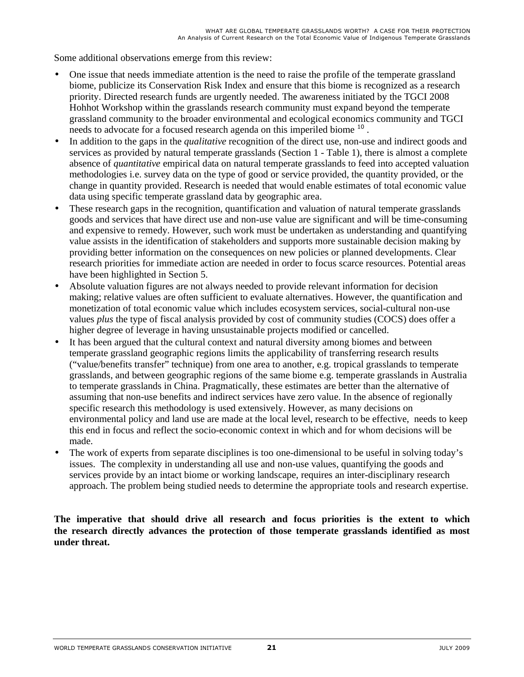Some additional observations emerge from this review:

- One issue that needs immediate attention is the need to raise the profile of the temperate grassland biome, publicize its Conservation Risk Index and ensure that this biome is recognized as a research priority. Directed research funds are urgently needed. The awareness initiated by the TGCI 2008 Hohhot Workshop within the grasslands research community must expand beyond the temperate grassland community to the broader environmental and ecological economics community and TGCI needs to advocate for a focused research agenda on this imperiled biome <sup>10</sup>.
- In addition to the gaps in the *qualitative* recognition of the direct use, non-use and indirect goods and services as provided by natural temperate grasslands (Section 1 - Table 1), there is almost a complete absence of *quantitative* empirical data on natural temperate grasslands to feed into accepted valuation methodologies i.e. survey data on the type of good or service provided, the quantity provided, or the change in quantity provided. Research is needed that would enable estimates of total economic value data using specific temperate grassland data by geographic area.
- These research gaps in the recognition, quantification and valuation of natural temperate grasslands goods and services that have direct use and non-use value are significant and will be time-consuming and expensive to remedy. However, such work must be undertaken as understanding and quantifying value assists in the identification of stakeholders and supports more sustainable decision making by providing better information on the consequences on new policies or planned developments. Clear research priorities for immediate action are needed in order to focus scarce resources. Potential areas have been highlighted in Section 5.
- Absolute valuation figures are not always needed to provide relevant information for decision making; relative values are often sufficient to evaluate alternatives. However, the quantification and monetization of total economic value which includes ecosystem services, social-cultural non-use values *plus* the type of fiscal analysis provided by cost of community studies (COCS) does offer a higher degree of leverage in having unsustainable projects modified or cancelled.
- It has been argued that the cultural context and natural diversity among biomes and between temperate grassland geographic regions limits the applicability of transferring research results ("value/benefits transfer" technique) from one area to another, e.g. tropical grasslands to temperate grasslands, and between geographic regions of the same biome e.g. temperate grasslands in Australia to temperate grasslands in China. Pragmatically, these estimates are better than the alternative of assuming that non-use benefits and indirect services have zero value. In the absence of regionally specific research this methodology is used extensively. However, as many decisions on environmental policy and land use are made at the local level, research to be effective, needs to keep this end in focus and reflect the socio-economic context in which and for whom decisions will be made.
- The work of experts from separate disciplines is too one-dimensional to be useful in solving today's issues. The complexity in understanding all use and non-use values, quantifying the goods and services provide by an intact biome or working landscape, requires an inter-disciplinary research approach. The problem being studied needs to determine the appropriate tools and research expertise.

**The imperative that should drive all research and focus priorities is the extent to which the research directly advances the protection of those temperate grasslands identified as most under threat.**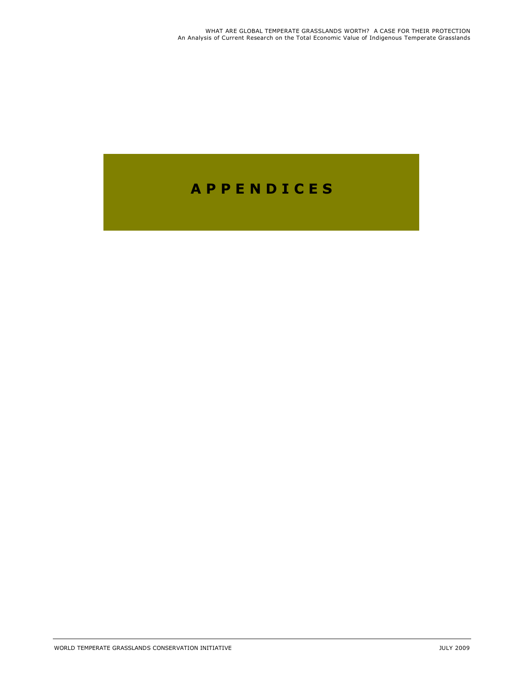## **A P P E N D I C E S**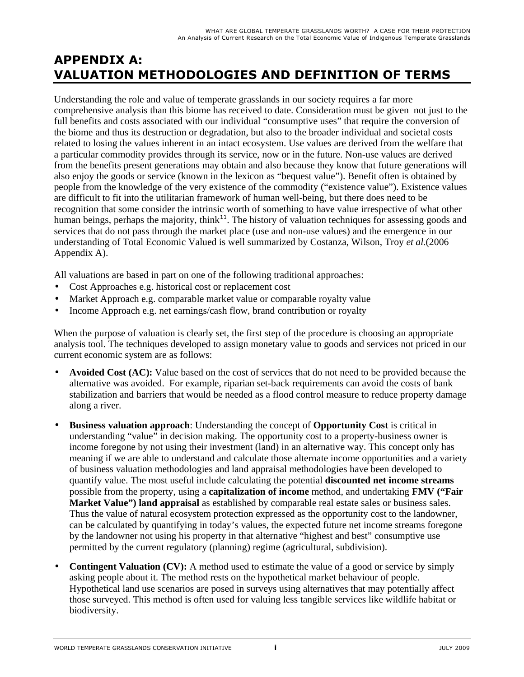### **APPENDIX A: VALUATION METHODOLOGIES AND DEFINITION OF TERMS**

Understanding the role and value of temperate grasslands in our society requires a far more comprehensive analysis than this biome has received to date. Consideration must be given not just to the full benefits and costs associated with our individual "consumptive uses" that require the conversion of the biome and thus its destruction or degradation, but also to the broader individual and societal costs related to losing the values inherent in an intact ecosystem. Use values are derived from the welfare that a particular commodity provides through its service, now or in the future. Non-use values are derived from the benefits present generations may obtain and also because they know that future generations will also enjoy the goods or service (known in the lexicon as "bequest value"). Benefit often is obtained by people from the knowledge of the very existence of the commodity ("existence value"). Existence values are difficult to fit into the utilitarian framework of human well-being, but there does need to be recognition that some consider the intrinsic worth of something to have value irrespective of what other human beings, perhaps the majority, think<sup>11</sup>. The history of valuation techniques for assessing goods and services that do not pass through the market place (use and non-use values) and the emergence in our understanding of Total Economic Valued is well summarized by Costanza, Wilson, Troy *et al.*(2006 Appendix A).

All valuations are based in part on one of the following traditional approaches:

- Cost Approaches e.g. historical cost or replacement cost
- Market Approach e.g. comparable market value or comparable royalty value
- Income Approach e.g. net earnings/cash flow, brand contribution or royalty

When the purpose of valuation is clearly set, the first step of the procedure is choosing an appropriate analysis tool. The techniques developed to assign monetary value to goods and services not priced in our current economic system are as follows:

- **Avoided Cost (AC):** Value based on the cost of services that do not need to be provided because the alternative was avoided. For example, riparian set-back requirements can avoid the costs of bank stabilization and barriers that would be needed as a flood control measure to reduce property damage along a river.
- **Business valuation approach**: Understanding the concept of **Opportunity Cost** is critical in understanding "value" in decision making. The opportunity cost to a property-business owner is income foregone by not using their investment (land) in an alternative way. This concept only has meaning if we are able to understand and calculate those alternate income opportunities and a variety of business valuation methodologies and land appraisal methodologies have been developed to quantify value. The most useful include calculating the potential **discounted net income streams** possible from the property, using a **capitalization of income** method, and undertaking **FMV ("Fair Market Value") land appraisal** as established by comparable real estate sales or business sales. Thus the value of natural ecosystem protection expressed as the opportunity cost to the landowner, can be calculated by quantifying in today's values, the expected future net income streams foregone by the landowner not using his property in that alternative "highest and best" consumptive use permitted by the current regulatory (planning) regime (agricultural, subdivision).
- **Contingent Valuation (CV):** A method used to estimate the value of a good or service by simply asking people about it. The method rests on the hypothetical market behaviour of people. Hypothetical land use scenarios are posed in surveys using alternatives that may potentially affect those surveyed. This method is often used for valuing less tangible services like wildlife habitat or biodiversity.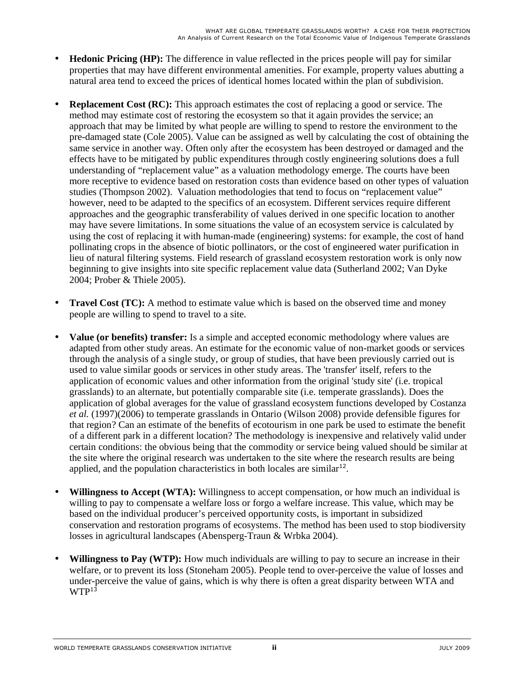- **Hedonic Pricing (HP):** The difference in value reflected in the prices people will pay for similar properties that may have different environmental amenities. For example, property values abutting a natural area tend to exceed the prices of identical homes located within the plan of subdivision.
- **Replacement Cost (RC):** This approach estimates the cost of replacing a good or service. The method may estimate cost of restoring the ecosystem so that it again provides the service; an approach that may be limited by what people are willing to spend to restore the environment to the pre-damaged state (Cole 2005). Value can be assigned as well by calculating the cost of obtaining the same service in another way. Often only after the ecosystem has been destroyed or damaged and the effects have to be mitigated by public expenditures through costly engineering solutions does a full understanding of "replacement value" as a valuation methodology emerge. The courts have been more receptive to evidence based on restoration costs than evidence based on other types of valuation studies (Thompson 2002). Valuation methodologies that tend to focus on "replacement value" however, need to be adapted to the specifics of an ecosystem. Different services require different approaches and the geographic transferability of values derived in one specific location to another may have severe limitations. In some situations the value of an ecosystem service is calculated by using the cost of replacing it with human-made (engineering) systems: for example, the cost of hand pollinating crops in the absence of biotic pollinators, or the cost of engineered water purification in lieu of natural filtering systems. Field research of grassland ecosystem restoration work is only now beginning to give insights into site specific replacement value data (Sutherland 2002; Van Dyke 2004; Prober & Thiele 2005).
- **Travel Cost (TC):** A method to estimate value which is based on the observed time and money people are willing to spend to travel to a site.
- **Value (or benefits) transfer:** Is a simple and accepted economic methodology where values are adapted from other study areas. An estimate for the economic value of non-market goods or services through the analysis of a single study, or group of studies, that have been previously carried out is used to value similar goods or services in other study areas. The 'transfer' itself, refers to the application of economic values and other information from the original 'study site' (i.e. tropical grasslands) to an alternate, but potentially comparable site (i.e. temperate grasslands). Does the application of global averages for the value of grassland ecosystem functions developed by Costanza *et al.* (1997)(2006) to temperate grasslands in Ontario (Wilson 2008) provide defensible figures for that region? Can an estimate of the benefits of ecotourism in one park be used to estimate the benefit of a different park in a different location? The methodology is inexpensive and relatively valid under certain conditions: the obvious being that the commodity or service being valued should be similar at the site where the original research was undertaken to the site where the research results are being applied, and the population characteristics in both locales are similar<sup>12</sup>.
- **Willingness to Accept (WTA):** Willingness to accept compensation, or how much an individual is willing to pay to compensate a welfare loss or forgo a welfare increase. This value, which may be based on the individual producer's perceived opportunity costs, is important in subsidized conservation and restoration programs of ecosystems. The method has been used to stop biodiversity losses in agricultural landscapes (Abensperg-Traun & Wrbka 2004).
- **Willingness to Pay (WTP):** How much individuals are willing to pay to secure an increase in their welfare, or to prevent its loss (Stoneham 2005). People tend to over-perceive the value of losses and under-perceive the value of gains, which is why there is often a great disparity between WTA and  $WTP<sup>13</sup>$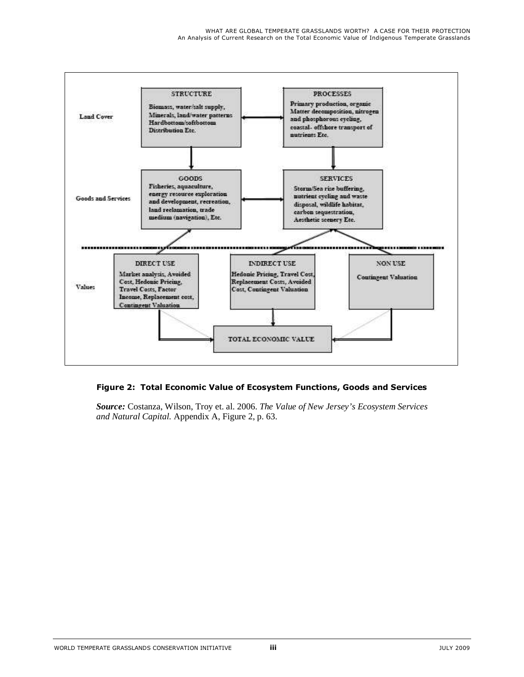

#### **Figure 2: Total Economic Value of Ecosystem Functions, Goods and Services**

*Source:* Costanza, Wilson, Troy et. al. 2006. *The Value of New Jersey's Ecosystem Services and Natural Capital.* Appendix A, Figure 2, p. 63.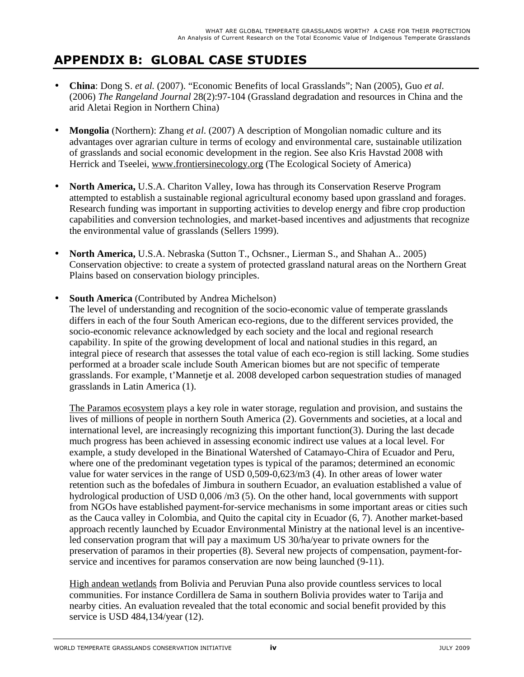## **APPENDIX B: GLOBAL CASE STUDIES**

- **China**: Dong S. *et al.* (2007). "Economic Benefits of local Grasslands"; Nan (2005), Guo *et al*. (2006) *The Rangeland Journal* 28(2):97-104 (Grassland degradation and resources in China and the arid Aletai Region in Northern China)
- **Mongolia** (Northern): Zhang *et al*. (2007) A description of Mongolian nomadic culture and its advantages over agrarian culture in terms of ecology and environmental care, sustainable utilization of grasslands and social economic development in the region. See also Kris Havstad 2008 with Herrick and Tseelei, www.frontiersinecology.org (The Ecological Society of America)
- **North America,** U.S.A. Chariton Valley, Iowa has through its Conservation Reserve Program attempted to establish a sustainable regional agricultural economy based upon grassland and forages. Research funding was important in supporting activities to develop energy and fibre crop production capabilities and conversion technologies, and market-based incentives and adjustments that recognize the environmental value of grasslands (Sellers 1999).
- **North America,** U.S.A. Nebraska (Sutton T., Ochsner., Lierman S., and Shahan A.. 2005) Conservation objective: to create a system of protected grassland natural areas on the Northern Great Plains based on conservation biology principles.
- **South America** (Contributed by Andrea Michelson)

The level of understanding and recognition of the socio-economic value of temperate grasslands differs in each of the four South American eco-regions, due to the different services provided, the socio-economic relevance acknowledged by each society and the local and regional research capability. In spite of the growing development of local and national studies in this regard, an integral piece of research that assesses the total value of each eco-region is still lacking. Some studies performed at a broader scale include South American biomes but are not specific of temperate grasslands. For example, t'Mannetje et al. 2008 developed carbon sequestration studies of managed grasslands in Latin America (1).

The Paramos ecosystem plays a key role in water storage, regulation and provision, and sustains the lives of millions of people in northern South America (2). Governments and societies, at a local and international level, are increasingly recognizing this important function(3). During the last decade much progress has been achieved in assessing economic indirect use values at a local level. For example, a study developed in the Binational Watershed of Catamayo-Chira of Ecuador and Peru, where one of the predominant vegetation types is typical of the paramos; determined an economic value for water services in the range of USD 0,509-0,623/m3 (4). In other areas of lower water retention such as the bofedales of Jimbura in southern Ecuador, an evaluation established a value of hydrological production of USD 0,006 /m3 (5). On the other hand, local governments with support from NGOs have established payment-for-service mechanisms in some important areas or cities such as the Cauca valley in Colombia, and Quito the capital city in Ecuador (6, 7). Another market-based approach recently launched by Ecuador Environmental Ministry at the national level is an incentiveled conservation program that will pay a maximum US 30/ha/year to private owners for the preservation of paramos in their properties (8). Several new projects of compensation, payment-forservice and incentives for paramos conservation are now being launched (9-11).

High andean wetlands from Bolivia and Peruvian Puna also provide countless services to local communities. For instance Cordillera de Sama in southern Bolivia provides water to Tarija and nearby cities. An evaluation revealed that the total economic and social benefit provided by this service is USD 484,134/year (12).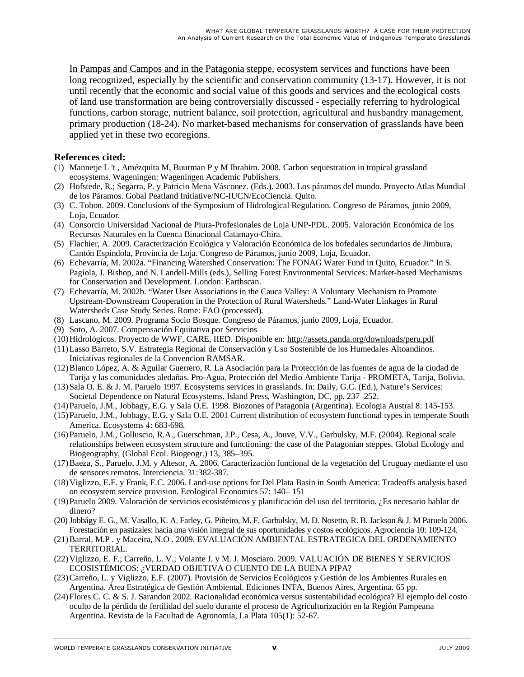In Pampas and Campos and in the Patagonia steppe, ecosystem services and functions have been long recognized, especially by the scientific and conservation community (13-17). However, it is not until recently that the economic and social value of this goods and services and the ecological costs of land use transformation are being controversially discussed - especially referring to hydrological functions, carbon storage, nutrient balance, soil protection, agricultural and husbandry management, primary production (18-24). No market-based mechanisms for conservation of grasslands have been applied yet in these two ecoregions.

#### **References cited:**

- (1) Mannetje L 't , Amézquita M, Buurman P y M Ibrahim. 2008. Carbon sequestration in tropical grassland ecosystems. Wageningen: Wageningen Academic Publishers.
- (2) Hofstede, R.; Segarra, P. y Patricio Mena Vásconez. (Eds.). 2003. Los páramos del mundo. Proyecto Atlas Mundial de los Páramos. Gobal Peatland Initiative/NC-IUCN/EcoCiencia. Quito.
- (3) C. Tobon. 2009. Conclusions of the Symposium of Hidrological Regulation. Congreso de Páramos, junio 2009, Loja, Ecuador.
- (4) Consorcio Universidad Nacional de Piura-Profesionales de Loja UNP-PDL. 2005. Valoración Económica de los Recursos Naturales en la Cuenca Binacional Catamayo-Chira.
- (5) Flachier, A. 2009. Caracterización Ecológica y Valoración Económica de los bofedales secundarios de Jimbura, Cantón Espíndola, Provincia de Loja. Congreso de Páramos, junio 2009, Loja, Ecuador.
- (6) Echevarría, M. 2002a. "Financing Watershed Conservation: The FONAG Water Fund in Quito, Ecuador." In S. Pagiola, J. Bishop, and N. Landell-Mills (eds.), Selling Forest Environmental Services: Market-based Mechanisms for Conservation and Development. London: Earthscan.
- (7) Echevarría, M. 2002b. "Water User Associations in the Cauca Valley: A Voluntary Mechanism to Promote Upstream-Downstream Cooperation in the Protection of Rural Watersheds." Land-Water Linkages in Rural Watersheds Case Study Series. Rome: FAO (processed).
- (8) Lascano, M. 2009. Programa Socio Bosque. Congreso de Páramos, junio 2009, Loja, Ecuador.
- (9) Soto, A. 2007. Compensación Equitativa por Servicios
- (10)Hidrológicos. Proyecto de WWF, CARE, IIED. Disponible en: http://assets.panda.org/downloads/peru.pdf
- (11)Lasso Barreto, S.V. Estrategia Regional de Conservación y Uso Sostenible de los Humedales Altoandinos. Iniciativas regionales de la Convencion RAMSAR.
- (12)Blanco López, A. & Aguilar Guerrero, R. La Asociación para la Protección de las fuentes de agua de la ciudad de Tarija y las comunidades aledañas. Pro-Agua. Protección del Medio Ambiente Tarija - PROMETA, Tarija, Bolivia.
- (13)Sala O. E. & J. M. Paruelo 1997. Ecosystems services in grasslands. In: Daily, G.C. (Ed.), Nature's Services: Societal Dependence on Natural Ecosystems. Island Press, Washington, DC, pp. 237–252.
- (14)Paruelo, J.M., Jobbagy, E.G. y Sala O.E. 1998. Biozones of Patagonia (Argentina). Ecologia Austral 8: 145-153.
- (15)Paruelo, J.M., Jobbagy, E.G. y Sala O.E. 2001 Current distribution of ecosystem functional types in temperate South America. Ecosystems 4: 683-698.
- (16)Paruelo, J.M., Golluscio, R.A., Guerschman, J.P., Cesa, A., Jouve, V.V., Garbulsky, M.F. (2004). Regional scale relationships between ecosystem structure and functioning: the case of the Patagonian steppes. Global Ecology and Biogeography, (Global Ecol. Biogeogr.) 13, 385–395.
- (17)Baeza, S., Paruelo, J.M. y Altesor, A. 2006. Caracterización funcional de la vegetación del Uruguay mediante el uso de sensores remotos. Interciencia. 31:382-387.
- (18)Viglizzo, E.F. y Frank, F.C. 2006. Land-use options for Del Plata Basin in South America: Tradeoffs analysis based on ecosystem service provision. Ecological Economics 57: 140– 151
- (19)Paruelo 2009. Valoración de servicios ecosistémicos y planificación del uso del territorio. ¿Es necesario hablar de dinero?
- (20)Jobbágy E. G., M. Vasallo, K. A. Farley, G. Piñeiro, M. F. Garbulsky, M. D. Nosetto, R. B. Jackson & J. M Paruelo 2006. Forestación en pastizales: hacia una visión integral de sus oportunidades y costos ecológicos. Agrociencia 10: 109-124.
- (21)Barral, M.P . y Maceira, N.O . 2009. EVALUACIÓN AMBIENTAL ESTRATEGICA DEL ORDENAMIENTO TERRITORIAL.
- (22)Viglizzo, E. F.; Carreño, L. V.; Volante J. y M. J. Mosciaro. 2009. VALUACIÓN DE BIENES Y SERVICIOS ECOSISTÉMICOS: ¿VERDAD OBJETIVA O CUENTO DE LA BUENA PIPA?
- (23)Carreño, L. y Viglizzo, E.F. (2007). Provisión de Servicios Ecológicos y Gestión de los Ambientes Rurales en Argentina. Área Estratégica de Gestión Ambiental. Ediciones INTA, Buenos Aires, Argentina. 65 pp.
- (24)Flores C. C. & S. J. Sarandon 2002. Racionalidad económica versus sustentabilidad ecológica? El ejemplo del costo oculto de la pérdida de fertilidad del suelo durante el proceso de Agriculturización en la Región Pampeana Argentina. Revista de la Facultad de Agronomía, La Plata 105(1): 52-67.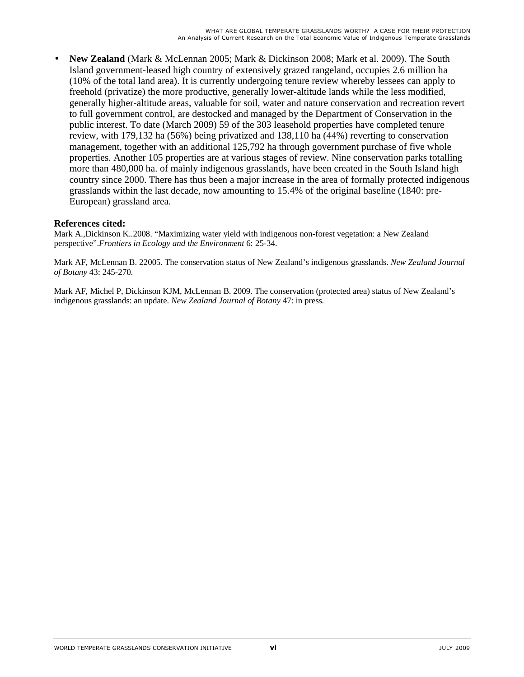• **New Zealand** (Mark & McLennan 2005; Mark & Dickinson 2008; Mark et al. 2009). The South Island government-leased high country of extensively grazed rangeland, occupies 2.6 million ha (10% of the total land area). It is currently undergoing tenure review whereby lessees can apply to freehold (privatize) the more productive, generally lower-altitude lands while the less modified, generally higher-altitude areas, valuable for soil, water and nature conservation and recreation revert to full government control, are destocked and managed by the Department of Conservation in the public interest. To date (March 2009) 59 of the 303 leasehold properties have completed tenure review, with 179,132 ha (56%) being privatized and 138,110 ha (44%) reverting to conservation management, together with an additional 125,792 ha through government purchase of five whole properties. Another 105 properties are at various stages of review. Nine conservation parks totalling more than 480,000 ha. of mainly indigenous grasslands, have been created in the South Island high country since 2000. There has thus been a major increase in the area of formally protected indigenous grasslands within the last decade, now amounting to 15.4% of the original baseline (1840: pre-European) grassland area.

#### **References cited:**

Mark A.,Dickinson K..2008. "Maximizing water yield with indigenous non-forest vegetation: a New Zealand perspective".*Frontiers in Ecology and the Environment* 6: 25-34.

Mark AF, McLennan B. 22005. The conservation status of New Zealand's indigenous grasslands. *New Zealand Journal of Botany* 43: 245-270.

Mark AF, Michel P, Dickinson KJM, McLennan B. 2009. The conservation (protected area) status of New Zealand's indigenous grasslands: an update. *New Zealand Journal of Botany* 47: in press.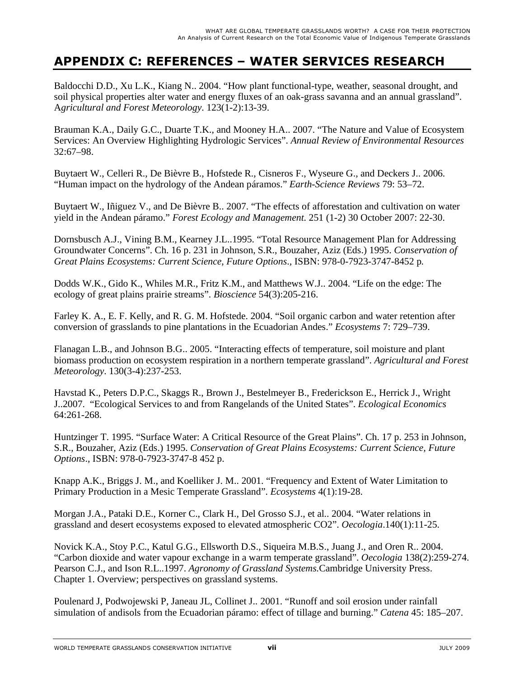### **APPENDIX C: REFERENCES – WATER SERVICES RESEARCH**

Baldocchi D.D., Xu L.K., Kiang N.. 2004. "How plant functional-type, weather, seasonal drought, and soil physical properties alter water and energy fluxes of an oak-grass savanna and an annual grassland". A*gricultural and Forest Meteorology*. 123(1-2):13-39.

Brauman K.A., Daily G.C., Duarte T.K., and Mooney H.A.. 2007. "The Nature and Value of Ecosystem Services: An Overview Highlighting Hydrologic Services". *Annual Review of Environmental Resources* 32:67–98.

Buytaert W., Celleri R., De Bièvre B., Hofstede R., Cisneros F., Wyseure G., and Deckers J.. 2006. "Human impact on the hydrology of the Andean páramos." *Earth-Science Reviews* 79: 53–72.

Buytaert W., Iñiguez V., and De Bièvre B.. 2007. "The effects of afforestation and cultivation on water yield in the Andean páramo." *Forest Ecology and Management*. 251 (1-2) 30 October 2007: 22-30.

Dornsbusch A.J., Vining B.M., Kearney J.L..1995. "Total Resource Management Plan for Addressing Groundwater Concerns". Ch. 16 p. 231 in Johnson, S.R., Bouzaher, Aziz (Eds.) 1995. *Conservation of Great Plains Ecosystems: Current Science, Future Options*.*,* ISBN: 978-0-7923-3747-8452 p.

Dodds W.K., Gido K., Whiles M.R., Fritz K.M., and Matthews W.J.. 2004. "Life on the edge: The ecology of great plains prairie streams". *Bioscience* 54(3):205-216.

Farley K. A., E. F. Kelly, and R. G. M. Hofstede. 2004. "Soil organic carbon and water retention after conversion of grasslands to pine plantations in the Ecuadorian Andes." *Ecosystems* 7: 729–739.

Flanagan L.B., and Johnson B.G.. 2005. "Interacting effects of temperature, soil moisture and plant biomass production on ecosystem respiration in a northern temperate grassland". *Agricultural and Forest Meteorology*. 130(3-4):237-253.

Havstad K., Peters D.P.C., Skaggs R., Brown J., Bestelmeyer B., Frederickson E., Herrick J., Wright J..2007. "Ecological Services to and from Rangelands of the United States". *Ecological Economics* 64:261-268.

Huntzinger T. 1995. "Surface Water: A Critical Resource of the Great Plains". Ch. 17 p. 253 in Johnson, S.R., Bouzaher, Aziz (Eds.) 1995. *Conservation of Great Plains Ecosystems: Current Science, Future Options*.*,* ISBN: 978-0-7923-3747-8 452 p.

Knapp A.K., Briggs J. M., and Koelliker J. M.. 2001. "Frequency and Extent of Water Limitation to Primary Production in a Mesic Temperate Grassland". *Ecosystems* 4(1):19-28.

Morgan J.A., Pataki D.E., Korner C., Clark H., Del Grosso S.J., et al.. 2004. "Water relations in grassland and desert ecosystems exposed to elevated atmospheric CO2". *Oecologia*.140(1):11-25.

Novick K.A., Stoy P.C., Katul G.G., Ellsworth D.S., Siqueira M.B.S., Juang J., and Oren R.. 2004. "Carbon dioxide and water vapour exchange in a warm temperate grassland". *Oecologia* 138(2):259-274. Pearson C.J., and Ison R.L..1997. *Agronomy of Grassland Systems.*Cambridge University Press. Chapter 1. Overview; perspectives on grassland systems.

Poulenard J, Podwojewski P, Janeau JL, Collinet J.. 2001. "Runoff and soil erosion under rainfall simulation of andisols from the Ecuadorian páramo: effect of tillage and burning." *Catena* 45: 185–207.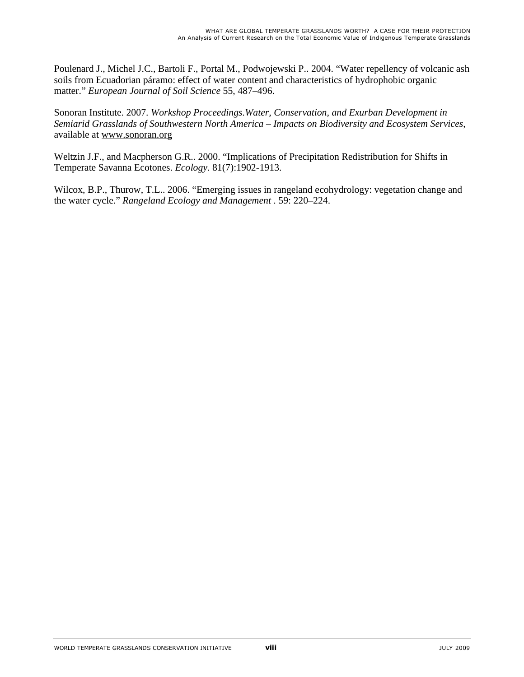Poulenard J., Michel J.C., Bartoli F., Portal M., Podwojewski P.. 2004. "Water repellency of volcanic ash soils from Ecuadorian páramo: effect of water content and characteristics of hydrophobic organic matter." *European Journal of Soil Science* 55, 487–496.

Sonoran Institute. 2007. *Workshop Proceedings.Water, Conservation, and Exurban Development in Semiarid Grasslands of Southwestern North America – Impacts on Biodiversity and Ecosystem Services*, available at www.sonoran.org

Weltzin J.F., and Macpherson G.R.. 2000. "Implications of Precipitation Redistribution for Shifts in Temperate Savanna Ecotones. *Ecology*. 81(7):1902-1913.

Wilcox, B.P., Thurow, T.L.. 2006. "Emerging issues in rangeland ecohydrology: vegetation change and the water cycle." *Rangeland Ecology and Management* . 59: 220–224.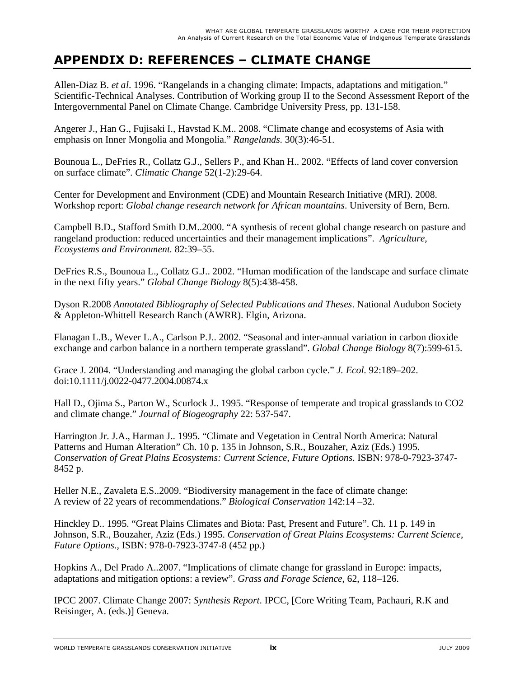## **APPENDIX D: REFERENCES – CLIMATE CHANGE**

Allen-Diaz B. *et al*. 1996. "Rangelands in a changing climate: Impacts, adaptations and mitigation." Scientific-Technical Analyses. Contribution of Working group II to the Second Assessment Report of the Intergovernmental Panel on Climate Change. Cambridge University Press, pp. 131-158.

Angerer J., Han G., Fujisaki I., Havstad K.M.. 2008. "Climate change and ecosystems of Asia with emphasis on Inner Mongolia and Mongolia." *Rangelands.* 30(3):46-51.

Bounoua L., DeFries R., Collatz G.J., Sellers P., and Khan H.. 2002. "Effects of land cover conversion on surface climate". *Climatic Change* 52(1-2):29-64.

Center for Development and Environment (CDE) and Mountain Research Initiative (MRI). 2008. Workshop report: *Global change research network for African mountains*. University of Bern, Bern.

Campbell B.D., Stafford Smith D.M..2000. "A synthesis of recent global change research on pasture and rangeland production: reduced uncertainties and their management implications". *Agriculture, Ecosystems and Environment.* 82:39–55.

DeFries R.S., Bounoua L., Collatz G.J.. 2002. "Human modification of the landscape and surface climate in the next fifty years." *Global Change Biology* 8(5):438-458.

Dyson R.2008 *Annotated Bibliography of Selected Publications and Theses*. National Audubon Society & Appleton-Whittell Research Ranch (AWRR). Elgin, Arizona.

Flanagan L.B., Wever L.A., Carlson P.J.. 2002. "Seasonal and inter-annual variation in carbon dioxide exchange and carbon balance in a northern temperate grassland". *Global Change Biology* 8(7):599-615.

Grace J. 2004. "Understanding and managing the global carbon cycle." *J. Ecol*. 92:189–202. doi:10.1111/j.0022-0477.2004.00874.x

Hall D., Ojima S., Parton W., Scurlock J.. 1995. "Response of temperate and tropical grasslands to CO2 and climate change." *Journal of Biogeography* 22: 537-547.

Harrington Jr. J.A., Harman J.. 1995. "Climate and Vegetation in Central North America: Natural Patterns and Human Alteration" Ch. 10 p. 135 in Johnson, S.R., Bouzaher, Aziz (Eds.) 1995. *Conservation of Great Plains Ecosystems: Current Science, Future Options*. ISBN: 978-0-7923-3747- 8452 p.

Heller N.E., Zavaleta E.S..2009. "Biodiversity management in the face of climate change: A review of 22 years of recommendations." *Biological Conservation* 142:14 –32.

Hinckley D.. 1995. "Great Plains Climates and Biota: Past, Present and Future". Ch. 11 p. 149 in Johnson, S.R., Bouzaher, Aziz (Eds.) 1995. *Conservation of Great Plains Ecosystems: Current Science, Future Options*.*,* ISBN: 978-0-7923-3747-8 (452 pp.)

Hopkins A., Del Prado A..2007. "Implications of climate change for grassland in Europe: impacts, adaptations and mitigation options: a review". *Grass and Forage Science*, 62, 118–126.

IPCC 2007. Climate Change 2007: *Synthesis Report*. IPCC, [Core Writing Team, Pachauri, R.K and Reisinger, A. (eds.)] Geneva.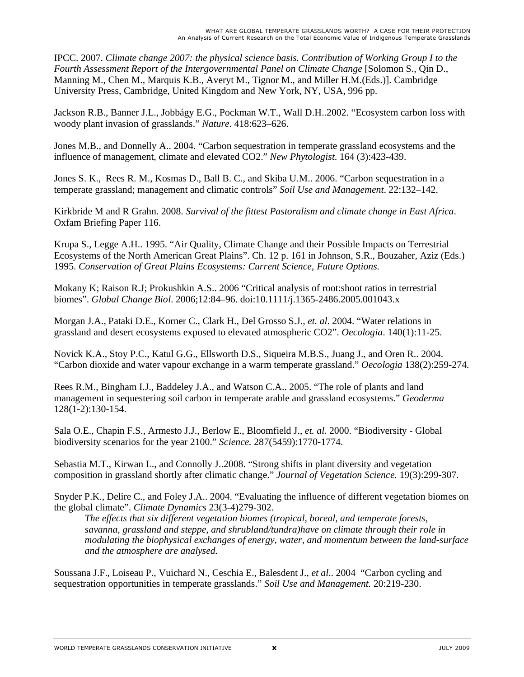IPCC. 2007. *Climate change 2007: the physical science basis. Contribution of Working Group I to the Fourth Assessment Report of the Intergovernmental Panel on Climate Change* [Solomon S., Qin D., Manning M., Chen M., Marquis K.B., Averyt M., Tignor M., and Miller H.M.(Eds.)]. Cambridge University Press, Cambridge, United Kingdom and New York, NY, USA, 996 pp.

Jackson R.B., Banner J.L., Jobbágy E.G., Pockman W.T., Wall D.H..2002. "Ecosystem carbon loss with woody plant invasion of grasslands." *Nature*. 418:623–626.

Jones M.B., and Donnelly A.. 2004. "Carbon sequestration in temperate grassland ecosystems and the influence of management, climate and elevated CO2." *New Phytologist*. 164 (3):423-439.

Jones S. K., Rees R. M., Kosmas D., Ball B. C., and Skiba U.M.. 2006. "Carbon sequestration in a temperate grassland; management and climatic controls" *Soil Use and Management*. 22:132–142.

Kirkbride M and R Grahn. 2008. *Survival of the fittest Pastoralism and climate change in East Africa*. Oxfam Briefing Paper 116.

Krupa S., Legge A.H.. 1995. "Air Quality, Climate Change and their Possible Impacts on Terrestrial Ecosystems of the North American Great Plains". Ch. 12 p. 161 in Johnson, S.R., Bouzaher, Aziz (Eds.) 1995. *Conservation of Great Plains Ecosystems: Current Science, Future Options.* 

Mokany K; Raison R.J; Prokushkin A.S.. 2006 "Critical analysis of root:shoot ratios in terrestrial biomes". *Global Change Biol*. 2006;12:84–96. doi:10.1111/j.1365-2486.2005.001043.x

Morgan J.A., Pataki D.E., Korner C., Clark H., Del Grosso S.J., *et. al*. 2004. "Water relations in grassland and desert ecosystems exposed to elevated atmospheric CO2". *Oecologia*. 140(1):11-25.

Novick K.A., Stoy P.C., Katul G.G., Ellsworth D.S., Siqueira M.B.S., Juang J., and Oren R.. 2004. "Carbon dioxide and water vapour exchange in a warm temperate grassland." *Oecologia* 138(2):259-274.

Rees R.M., Bingham I.J., Baddeley J.A., and Watson C.A.. 2005. "The role of plants and land management in sequestering soil carbon in temperate arable and grassland ecosystems." *Geoderma*  128(1-2):130-154.

Sala O.E., Chapin F.S., Armesto J.J., Berlow E., Bloomfield J., *et. al*. 2000. "Biodiversity - Global biodiversity scenarios for the year 2100." *Science.* 287(5459):1770-1774.

Sebastia M.T., Kirwan L., and Connolly J..2008. "Strong shifts in plant diversity and vegetation composition in grassland shortly after climatic change." *Journal of Vegetation Science.* 19(3):299-307.

Snyder P.K., Delire C., and Foley J.A.. 2004. "Evaluating the influence of different vegetation biomes on the global climate". *Climate Dynamics* 23(3-4)279-302.

 *The effects that six different vegetation biomes (tropical, boreal, and temperate forests, savanna, grassland and steppe, and shrubland/tundra)have on climate through their role in modulating the biophysical exchanges of energy, water, and momentum between the land-surface and the atmosphere are analysed.* 

Soussana J.F., Loiseau P., Vuichard N., Ceschia E., Balesdent J., *et al*.. 2004 "Carbon cycling and sequestration opportunities in temperate grasslands." *Soil Use and Management.* 20:219-230.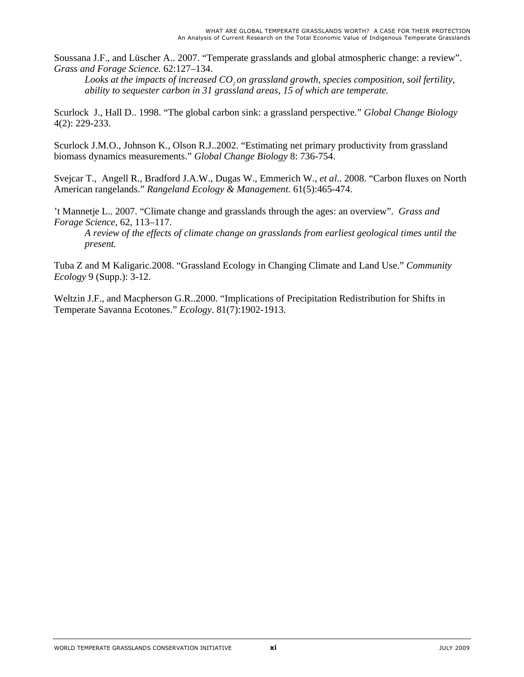Soussana J.F., and Lüscher A.. 2007. "Temperate grasslands and global atmospheric change: a review". *Grass and Forage Science.* 62:127–134.

 *Looks at the impacts of increased CO2 on grassland growth, species composition, soil fertility, ability to sequester carbon in 31 grassland areas, 15 of which are temperate.* 

Scurlock J., Hall D.. 1998. "The global carbon sink: a grassland perspective." *Global Change Biology* 4(2): 229-233.

Scurlock J.M.O., Johnson K., Olson R.J..2002. "Estimating net primary productivity from grassland biomass dynamics measurements." *Global Change Biology* 8: 736-754.

Svejcar T., Angell R., Bradford J.A.W., Dugas W., Emmerich W., *et al*.. 2008. "Carbon fluxes on North American rangelands." *Rangeland Ecology & Management*. 61(5):465-474.

't Mannetje L.. 2007. "Climate change and grasslands through the ages: an overview". *Grass and Forage Science*, 62, 113–117.

 *A review of the effects of climate change on grasslands from earliest geological times until the present.* 

Tuba Z and M Kaligaric.2008. "Grassland Ecology in Changing Climate and Land Use." *Community Ecology* 9 (Supp.): 3-12.

Weltzin J.F., and Macpherson G.R..2000. "Implications of Precipitation Redistribution for Shifts in Temperate Savanna Ecotones." *Ecology*. 81(7):1902-1913.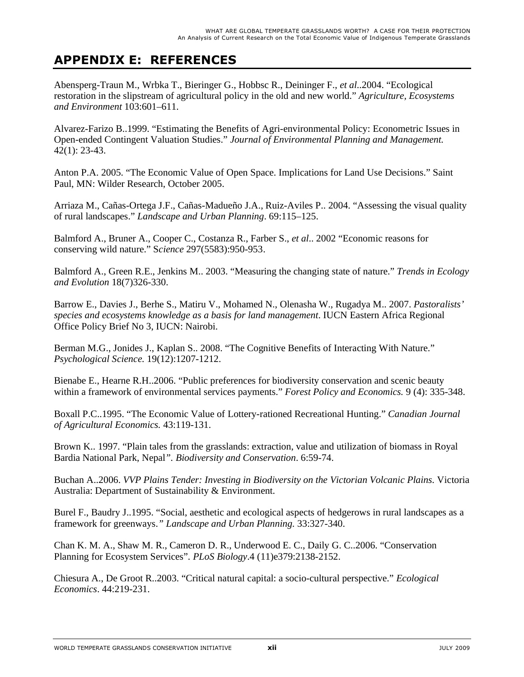## **APPENDIX E: REFERENCES**

Abensperg-Traun M., Wrbka T., Bieringer G., Hobbsc R., Deininger F., *et al*..2004. "Ecological restoration in the slipstream of agricultural policy in the old and new world." *Agriculture, Ecosystems and Environment* 103:601–611.

Alvarez-Farizo B..1999. "Estimating the Benefits of Agri-environmental Policy: Econometric Issues in Open-ended Contingent Valuation Studies." *Journal of Environmental Planning and Management.* 42(1): 23-43.

Anton P.A. 2005. "The Economic Value of Open Space. Implications for Land Use Decisions." Saint Paul, MN: Wilder Research, October 2005.

Arriaza M., Cañas-Ortega J.F., Cañas-Madueño J.A., Ruiz-Aviles P.. 2004. "Assessing the visual quality of rural landscapes." *Landscape and Urban Planning*. 69:115–125.

Balmford A., Bruner A., Cooper C., Costanza R., Farber S., *et al*.. 2002 "Economic reasons for conserving wild nature." S*cience* 297(5583):950-953.

Balmford A., Green R.E., Jenkins M.. 2003. "Measuring the changing state of nature." *Trends in Ecology and Evolution* 18(7)326-330.

Barrow E., Davies J., Berhe S., Matiru V., Mohamed N., Olenasha W., Rugadya M.. 2007. *Pastoralists' species and ecosystems knowledge as a basis for land management*. IUCN Eastern Africa Regional Office Policy Brief No 3, IUCN: Nairobi.

Berman M.G., Jonides J., Kaplan S.. 2008. "The Cognitive Benefits of Interacting With Nature." *Psychological Science.* 19(12):1207-1212.

Bienabe E., Hearne R.H..2006. "Public preferences for biodiversity conservation and scenic beauty within a framework of environmental services payments." *Forest Policy and Economics.* 9 (4): 335-348.

Boxall P.C..1995. "The Economic Value of Lottery-rationed Recreational Hunting." *Canadian Journal of Agricultural Economics.* 43:119-131.

Brown K.. 1997. "Plain tales from the grasslands: extraction, value and utilization of biomass in Royal Bardia National Park, Nepal*". Biodiversity and Conservation*. 6:59-74.

Buchan A..2006. *VVP Plains Tender: Investing in Biodiversity on the Victorian Volcanic Plains.* Victoria Australia: Department of Sustainability & Environment.

Burel F., Baudry J..1995. "Social, aesthetic and ecological aspects of hedgerows in rural landscapes as a framework for greenways.*" Landscape and Urban Planning.* 33:327-340.

Chan K. M. A., Shaw M. R., Cameron D. R., Underwood E. C., Daily G. C..2006. "Conservation Planning for Ecosystem Services". *PLoS Biology*.4 (11)e379:2138-2152.

Chiesura A., De Groot R..2003. "Critical natural capital: a socio-cultural perspective." *Ecological Economics*. 44:219-231.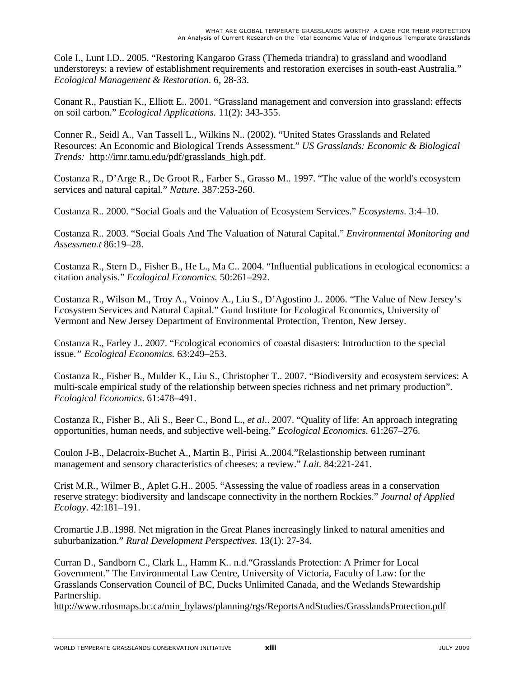Cole I., Lunt I.D.. 2005. "Restoring Kangaroo Grass (Themeda triandra) to grassland and woodland understoreys: a review of establishment requirements and restoration exercises in south-east Australia." *Ecological Management & Restoration.* 6, 28-33.

Conant R., Paustian K., Elliott E.. 2001. "Grassland management and conversion into grassland: effects on soil carbon." *Ecological Applications.* 11(2): 343-355.

Conner R., Seidl A., Van Tassell L., Wilkins N.. (2002). "United States Grasslands and Related Resources: An Economic and Biological Trends Assessment." *US Grasslands: Economic & Biological Trends:* http://irnr.tamu.edu/pdf/grasslands\_high.pdf.

Costanza R., D'Arge R., De Groot R., Farber S., Grasso M.. 1997. "The value of the world's ecosystem services and natural capital." *Nature*. 387:253-260.

Costanza R.. 2000. "Social Goals and the Valuation of Ecosystem Services." *Ecosystems.* 3:4–10.

Costanza R.. 2003. "Social Goals And The Valuation of Natural Capital." *Environmental Monitoring and Assessmen.t* 86:19–28.

Costanza R., Stern D., Fisher B., He L., Ma C.. 2004. "Influential publications in ecological economics: a citation analysis." *Ecological Economics.* 50:261–292.

Costanza R., Wilson M., Troy A., Voinov A., Liu S., D'Agostino J.. 2006. "The Value of New Jersey's Ecosystem Services and Natural Capital." Gund Institute for Ecological Economics, University of Vermont and New Jersey Department of Environmental Protection, Trenton, New Jersey.

Costanza R., Farley J.. 2007. "Ecological economics of coastal disasters: Introduction to the special issue.*" Ecological Economics.* 63:249–253.

Costanza R., Fisher B., Mulder K., Liu S., Christopher T.. 2007. "Biodiversity and ecosystem services: A multi-scale empirical study of the relationship between species richness and net primary production". *Ecological Economics*. 61:478–491.

Costanza R., Fisher B., Ali S., Beer C., Bond L., *et al*.. 2007. "Quality of life: An approach integrating opportunities, human needs, and subjective well-being." *Ecological Economics.* 61:267–276.

Coulon J-B., Delacroix-Buchet A., Martin B., Pirisi A..2004."Relastionship between ruminant management and sensory characteristics of cheeses: a review." *Lait.* 84:221-241.

Crist M.R., Wilmer B., Aplet G.H.. 2005. "Assessing the value of roadless areas in a conservation reserve strategy: biodiversity and landscape connectivity in the northern Rockies." *Journal of Applied Ecology*. 42:181–191.

Cromartie J.B..1998. Net migration in the Great Planes increasingly linked to natural amenities and suburbanization." *Rural Development Perspectives.* 13(1): 27-34.

Curran D., Sandborn C., Clark L., Hamm K.. n.d."Grasslands Protection: A Primer for Local Government." The Environmental Law Centre, University of Victoria, Faculty of Law: for the Grasslands Conservation Council of BC, Ducks Unlimited Canada, and the Wetlands Stewardship Partnership.

http://www.rdosmaps.bc.ca/min\_bylaws/planning/rgs/ReportsAndStudies/GrasslandsProtection.pdf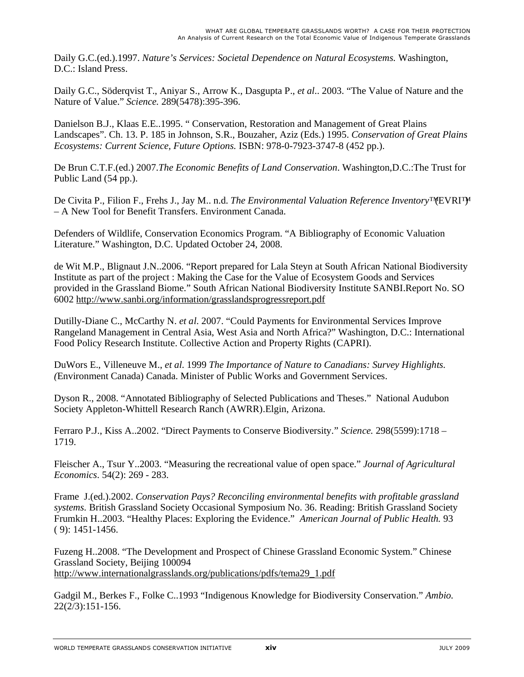Daily G.C.(ed.).1997. *Nature's Services: Societal Dependence on Natural Ecosystems.* Washington, D.C.: Island Press.

Daily G.C., Söderqvist T., Aniyar S., Arrow K., Dasgupta P., *et al*.. 2003. "The Value of Nature and the Nature of Value." *Science.* 289(5478):395-396.

Danielson B.J., Klaas E.E..1995. " Conservation, Restoration and Management of Great Plains Landscapes". Ch. 13. P. 185 in Johnson, S.R., Bouzaher, Aziz (Eds.) 1995. *Conservation of Great Plains Ecosystems: Current Science, Future Options.* ISBN: 978-0-7923-3747-8 (452 pp.).

De Brun C.T.F.(ed.) 2007.*The Economic Benefits of Land Conservation*. Washington,D.C.:The Trust for Public Land (54 pp.).

De Civita P., Filion F., Frehs J., Jay M.. n.d. *The Environmental Valuation Reference Inventory*™ EVRI<sup>TM</sup> – A New Tool for Benefit Transfers. Environment Canada.

Defenders of Wildlife, Conservation Economics Program. "A Bibliography of Economic Valuation Literature." Washington, D.C. Updated October 24, 2008.

de Wit M.P., Blignaut J.N..2006. "Report prepared for Lala Steyn at South African National Biodiversity Institute as part of the project : Making the Case for the Value of Ecosystem Goods and Services provided in the Grassland Biome." South African National Biodiversity Institute SANBI.Report No. SO 6002 http://www.sanbi.org/information/grasslandsprogressreport.pdf

Dutilly-Diane C., McCarthy N. *et al*. 2007. "Could Payments for Environmental Services Improve Rangeland Management in Central Asia, West Asia and North Africa?" Washington, D.C.: International Food Policy Research Institute. Collective Action and Property Rights (CAPRI).

DuWors E., Villeneuve M., *et al*. 1999 *The Importance of Nature to Canadians: Survey Highlights. (*Environment Canada) Canada. Minister of Public Works and Government Services.

Dyson R., 2008. "Annotated Bibliography of Selected Publications and Theses." National Audubon Society Appleton-Whittell Research Ranch (AWRR).Elgin, Arizona.

Ferraro P.J., Kiss A..2002. "Direct Payments to Conserve Biodiversity." *Science.* 298(5599):1718 – 1719.

Fleischer A., Tsur Y..2003. "Measuring the recreational value of open space." *Journal of Agricultural Economics*. 54(2): 269 - 283.

Frame J.(ed.).2002. *Conservation Pays? Reconciling environmental benefits with profitable grassland systems.* British Grassland Society Occasional Symposium No. 36. Reading: British Grassland Society Frumkin H..2003. "Healthy Places: Exploring the Evidence." *American Journal of Public Health.* 93 ( 9): 1451-1456.

Fuzeng H..2008. "The Development and Prospect of Chinese Grassland Economic System." Chinese Grassland Society, Beijing 100094 http://www.internationalgrasslands.org/publications/pdfs/tema29\_1.pdf

Gadgil M., Berkes F., Folke C..1993 "Indigenous Knowledge for Biodiversity Conservation." *Ambio.* 22(2/3):151-156.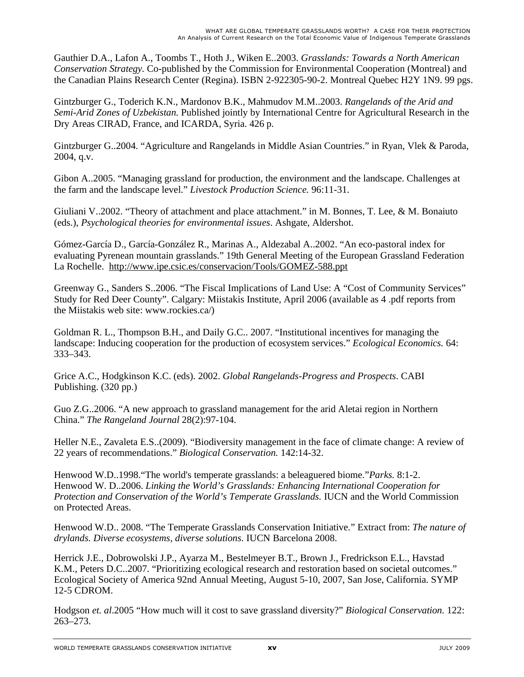Gauthier D.A., Lafon A., Toombs T., Hoth J., Wiken E..2003. *Grasslands: Towards a North American Conservation Strategy.* Co-published by the Commission for Environmental Cooperation (Montreal) and the Canadian Plains Research Center (Regina). ISBN 2-922305-90-2. Montreal Quebec H2Y 1N9. 99 pgs.

Gintzburger G., Toderich K.N., Mardonov B.K., Mahmudov M.M..2003. *Rangelands of the Arid and Semi-Arid Zones of Uzbekistan.* Published jointly by International Centre for Agricultural Research in the Dry Areas CIRAD, France, and ICARDA, Syria. 426 p.

Gintzburger G..2004. "Agriculture and Rangelands in Middle Asian Countries." in Ryan, Vlek & Paroda, 2004, q.v.

Gibon A..2005. "Managing grassland for production, the environment and the landscape. Challenges at the farm and the landscape level." *Livestock Production Science.* 96:11-31.

Giuliani V..2002. "Theory of attachment and place attachment." in M. Bonnes, T. Lee, & M. Bonaiuto (eds.), *Psychological theories for environmental issues*. Ashgate, Aldershot.

Gómez-García D., García-González R., Marinas A., Aldezabal A..2002. "An eco-pastoral index for evaluating Pyrenean mountain grasslands." 19th General Meeting of the European Grassland Federation La Rochelle. http://www.ipe.csic.es/conservacion/Tools/GOMEZ-588.ppt

Greenway G., Sanders S..2006. "The Fiscal Implications of Land Use: A "Cost of Community Services" Study for Red Deer County". Calgary: Miistakis Institute, April 2006 (available as 4 .pdf reports from the Miistakis web site: www.rockies.ca/)

Goldman R. L., Thompson B.H., and Daily G.C.. 2007. "Institutional incentives for managing the landscape: Inducing cooperation for the production of ecosystem services." *Ecological Economics.* 64: 333–343.

Grice A.C., Hodgkinson K.C. (eds). 2002. *Global Rangelands-Progress and Prospects*. CABI Publishing. (320 pp.)

Guo Z.G..2006. "A new approach to grassland management for the arid Aletai region in Northern China." *The Rangeland Journal* 28(2):97-104.

Heller N.E., Zavaleta E.S..(2009). "Biodiversity management in the face of climate change: A review of 22 years of recommendations." *Biological Conservation.* 142:14-32.

Henwood W.D..1998."The world's temperate grasslands: a beleaguered biome."*Parks.* 8:1-2. Henwood W. D..2006. *Linking the World's Grasslands: Enhancing International Cooperation for Protection and Conservation of the World's Temperate Grasslands.* IUCN and the World Commission on Protected Areas.

Henwood W.D.. 2008. "The Temperate Grasslands Conservation Initiative." Extract from: *The nature of drylands. Diverse ecosystems, diverse solutions.* IUCN Barcelona 2008.

Herrick J.E., Dobrowolski J.P., Ayarza M., Bestelmeyer B.T., Brown J., Fredrickson E.L., Havstad K.M., Peters D.C..2007. "Prioritizing ecological research and restoration based on societal outcomes." Ecological Society of America 92nd Annual Meeting, August 5-10, 2007, San Jose, California. SYMP 12-5 CDROM.

Hodgson *et. al*.2005 "How much will it cost to save grassland diversity?" *Biological Conservation.* 122: 263–273.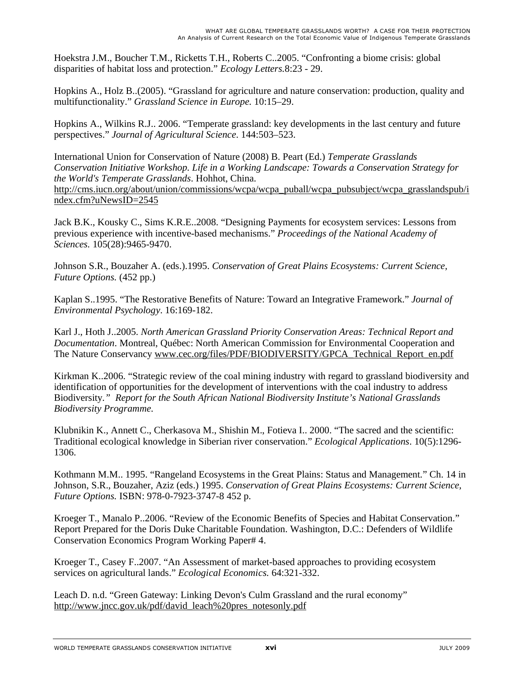Hoekstra J.M., Boucher T.M., Ricketts T.H., Roberts C..2005. "Confronting a biome crisis: global disparities of habitat loss and protection." *Ecology Letters.*8:23 - 29.

Hopkins A., Holz B..(2005). "Grassland for agriculture and nature conservation: production, quality and multifunctionality." *Grassland Science in Europe.* 10:15–29.

Hopkins A., Wilkins R.J.. 2006. "Temperate grassland: key developments in the last century and future perspectives." *Journal of Agricultural Science*. 144:503–523.

International Union for Conservation of Nature (2008) B. Peart (Ed.) *Temperate Grasslands Conservation Initiative Workshop. Life in a Working Landscape: Towards a Conservation Strategy for the World's Temperate Grasslands*. Hohhot, China. http://cms.iucn.org/about/union/commissions/wcpa/wcpa\_puball/wcpa\_pubsubject/wcpa\_grasslandspub/i ndex.cfm?uNewsID=2545

Jack B.K., Kousky C., Sims K.R.E..2008. "Designing Payments for ecosystem services: Lessons from previous experience with incentive-based mechanisms." *Proceedings of the National Academy of Sciences.* 105(28):9465-9470.

Johnson S.R., Bouzaher A. (eds.).1995. *Conservation of Great Plains Ecosystems: Current Science, Future Options.* (452 pp.)

Kaplan S..1995. "The Restorative Benefits of Nature: Toward an Integrative Framework." *Journal of Environmental Psychology*. 16:169-182.

Karl J., Hoth J..2005. *North American Grassland Priority Conservation Areas: Technical Report and Documentation*. Montreal, Québec: North American Commission for Environmental Cooperation and The Nature Conservancy www.cec.org/files/PDF/BIODIVERSITY/GPCA\_Technical\_Report\_en.pdf

Kirkman K..2006. "Strategic review of the coal mining industry with regard to grassland biodiversity and identification of opportunities for the development of interventions with the coal industry to address Biodiversity*." Report for the South African National Biodiversity Institute's National Grasslands Biodiversity Programme.* 

Klubnikin K., Annett C., Cherkasova M., Shishin M., Fotieva I.. 2000. "The sacred and the scientific: Traditional ecological knowledge in Siberian river conservation." *Ecological Applications*. 10(5):1296- 1306.

Kothmann M.M.. 1995. "Rangeland Ecosystems in the Great Plains: Status and Management." Ch. 14 in Johnson, S.R., Bouzaher, Aziz (eds.) 1995. *Conservation of Great Plains Ecosystems: Current Science, Future Options.* ISBN: 978-0-7923-3747-8 452 p.

Kroeger T., Manalo P..2006. "Review of the Economic Benefits of Species and Habitat Conservation." Report Prepared for the Doris Duke Charitable Foundation. Washington, D.C.: Defenders of Wildlife Conservation Economics Program Working Paper# 4.

Kroeger T., Casey F..2007. "An Assessment of market-based approaches to providing ecosystem services on agricultural lands." *Ecological Economics.* 64:321-332.

Leach D. n.d. "Green Gateway: Linking Devon's Culm Grassland and the rural economy" http://www.jncc.gov.uk/pdf/david\_leach%20pres\_notesonly.pdf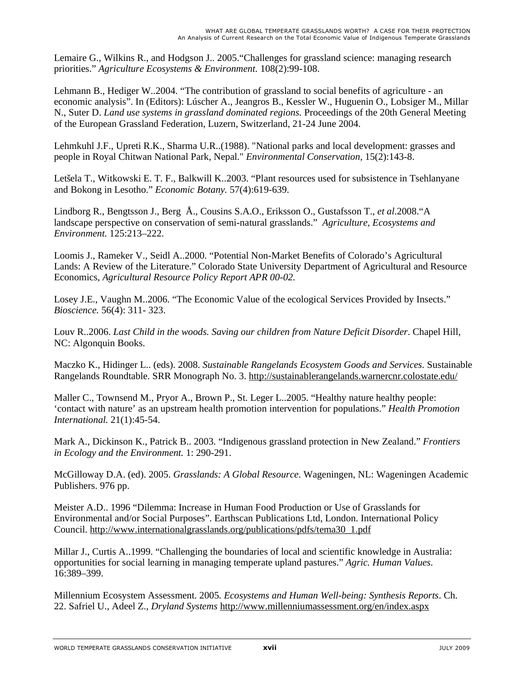Lemaire G., Wilkins R., and Hodgson J.. 2005."Challenges for grassland science: managing research priorities." *Agriculture Ecosystems & Environment*. 108(2):99-108.

Lehmann B., Hediger W..2004. "The contribution of grassland to social benefits of agriculture - an economic analysis". In (Editors): Lúscher A., Jeangros B., Kessler W., Huguenin O., Lobsiger M., Millar N., Suter D. *Land use systems in grassland dominated regions.* Proceedings of the 20th General Meeting of the European Grassland Federation, Luzern, Switzerland, 21-24 June 2004.

Lehmkuhl J.F., Upreti R.K., Sharma U.R..(1988). "National parks and local development: grasses and people in Royal Chitwan National Park, Nepal." *Environmental Conservation*, 15(2):143-8.

Letšela T., Witkowski E. T. F., Balkwill K..2003. "Plant resources used for subsistence in Tsehlanyane and Bokong in Lesotho." *Economic Botany.* 57(4):619-639.

Lindborg R., Bengtsson J., Berg Å., Cousins S.A.O., Eriksson O., Gustafsson T., *et al*.2008."A landscape perspective on conservation of semi-natural grasslands." *Agriculture, Ecosystems and Environment.* 125:213–222.

Loomis J., Rameker V., Seidl A..2000. "Potential Non-Market Benefits of Colorado's Agricultural Lands: A Review of the Literature." Colorado State University Department of Agricultural and Resource Economics, *Agricultural Resource Policy Report APR 00-02.* 

Losey J.E., Vaughn M..2006. "The Economic Value of the ecological Services Provided by Insects." *Bioscience.* 56(4): 311- 323.

Louv R..2006. *Last Child in the woods. Saving our children from Nature Deficit Disorder*. Chapel Hill, NC: Algonquin Books.

Maczko K., Hidinger L.. (eds). 2008. *Sustainable Rangelands Ecosystem Goods and Services.* Sustainable Rangelands Roundtable. SRR Monograph No. 3. http://sustainablerangelands.warnercnr.colostate.edu/

Maller C., Townsend M., Pryor A., Brown P., St. Leger L..2005. "Healthy nature healthy people: 'contact with nature' as an upstream health promotion intervention for populations." *Health Promotion International.* 21(1):45-54.

Mark A., Dickinson K., Patrick B.. 2003. "Indigenous grassland protection in New Zealand." *Frontiers in Ecology and the Environment.* 1: 290-291.

McGilloway D.A. (ed). 2005. *Grasslands: A Global Resource*. Wageningen, NL: Wageningen Academic Publishers. 976 pp.

Meister A.D.. 1996 "Dilemma: Increase in Human Food Production or Use of Grasslands for Environmental and/or Social Purposes". Earthscan Publications Ltd, London. International Policy Council. http://www.internationalgrasslands.org/publications/pdfs/tema30\_1.pdf

Millar J., Curtis A..1999. "Challenging the boundaries of local and scientific knowledge in Australia: opportunities for social learning in managing temperate upland pastures." *Agric. Human Values.* 16:389–399.

Millennium Ecosystem Assessment. 2005*. Ecosystems and Human Well-being: Synthesis Reports*. Ch. 22. Safriel U., Adeel Z., *Dryland Systems* http://www.millenniumassessment.org/en/index.aspx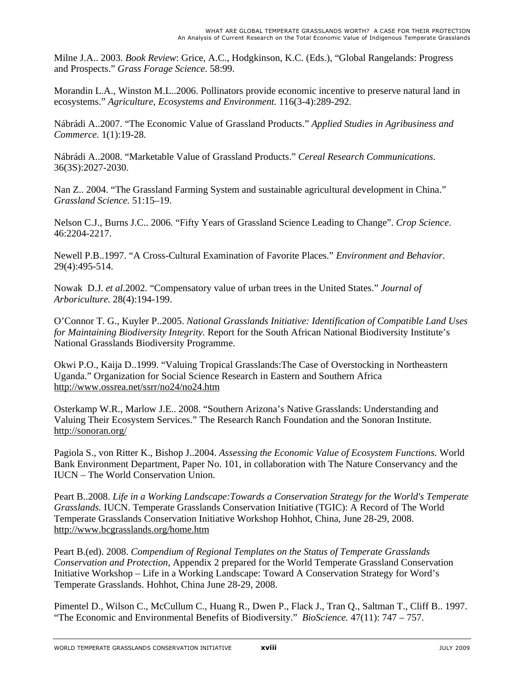Milne J.A.. 2003. *Book Review*: Grice, A.C., Hodgkinson, K.C. (Eds.), "Global Rangelands: Progress and Prospects." *Grass Forage Science*. 58:99.

Morandin L.A., Winston M.L..2006. Pollinators provide economic incentive to preserve natural land in ecosystems." *Agriculture, Ecosystems and Environment.* 116(3-4):289-292.

Nábrádi A..2007. "The Economic Value of Grassland Products." *Applied Studies in Agribusiness and Commerce.* 1(1):19-28.

Nábrádi A..2008. "Marketable Value of Grassland Products." *Cereal Research Communications.*  36(3S):2027-2030.

Nan Z.. 2004. "The Grassland Farming System and sustainable agricultural development in China." *Grassland Science.* 51:15–19.

Nelson C.J., Burns J.C.. 2006. "Fifty Years of Grassland Science Leading to Change". *Crop Science*. 46:2204-2217.

Newell P.B..1997. "A Cross-Cultural Examination of Favorite Places." *Environment and Behavior.* 29(4):495-514.

Nowak D.J. *et al*.2002. "Compensatory value of urban trees in the United States." *Journal of Arboriculture.* 28(4):194-199.

O'Connor T. G., Kuyler P..2005. *National Grasslands Initiative: Identification of Compatible Land Uses for Maintaining Biodiversity Integrity.* Report for the South African National Biodiversity Institute's National Grasslands Biodiversity Programme.

Okwi P.O., Kaija D..1999. "Valuing Tropical Grasslands:The Case of Overstocking in Northeastern Uganda." Organization for Social Science Research in Eastern and Southern Africa http://www.ossrea.net/ssrr/no24/no24.htm

Osterkamp W.R., Marlow J.E.. 2008. "Southern Arizona's Native Grasslands: Understanding and Valuing Their Ecosystem Services." The Research Ranch Foundation and the Sonoran Institute. http://sonoran.org/

Pagiola S., von Ritter K., Bishop J..2004. *Assessing the Economic Value of Ecosystem Functions.* World Bank Environment Department, Paper No. 101, in collaboration with The Nature Conservancy and the IUCN – The World Conservation Union.

Peart B..2008. *Life in a Working Landscape:Towards a Conservation Strategy for the World's Temperate Grasslands.* IUCN. Temperate Grasslands Conservation Initiative (TGIC): A Record of The World Temperate Grasslands Conservation Initiative Workshop Hohhot, China, June 28-29, 2008. http://www.bcgrasslands.org/home.htm

Peart B.(ed). 2008. *Compendium of Regional Templates on the Status of Temperate Grasslands Conservation and Protection*, Appendix 2 prepared for the World Temperate Grassland Conservation Initiative Workshop – Life in a Working Landscape: Toward A Conservation Strategy for Word's Temperate Grasslands. Hohhot, China June 28-29, 2008.

Pimentel D., Wilson C., McCullum C., Huang R., Dwen P., Flack J., Tran Q., Saltman T., Cliff B.. 1997. "The Economic and Environmental Benefits of Biodiversity." *BioScience.* 47(11): 747 – 757.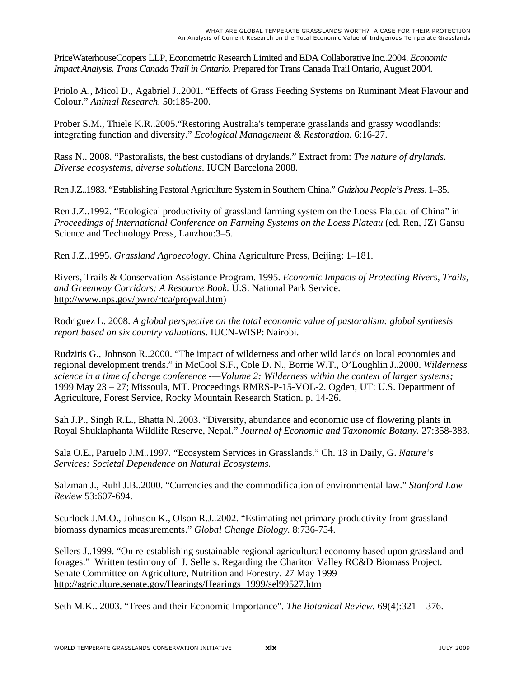PriceWaterhouseCoopers LLP, Econometric Research Limited and EDA Collaborative Inc..2004. *Economic Impact Analysis. Trans Canada Trail in Ontario.* Prepared for Trans Canada Trail Ontario, August 2004.

Priolo A., Micol D., Agabriel J..2001. "Effects of Grass Feeding Systems on Ruminant Meat Flavour and Colour." *Animal Research.* 50:185-200.

Prober S.M., Thiele K.R..2005."Restoring Australia's temperate grasslands and grassy woodlands: integrating function and diversity." *Ecological Management & Restoration.* 6:16-27.

Rass N.. 2008. "Pastoralists, the best custodians of drylands." Extract from: *The nature of drylands. Diverse ecosystems, diverse solutions.* IUCN Barcelona 2008.

Ren J.Z..1983. "Establishing Pastoral Agriculture System in Southern China." *Guizhou People's Press*. 1–35.

Ren J.Z..1992. "Ecological productivity of grassland farming system on the Loess Plateau of China" in *Proceedings of International Conference on Farming Systems on the Loess Plateau* (ed. Ren, JZ) Gansu Science and Technology Press, Lanzhou:3–5.

Ren J.Z..1995. *Grassland Agroecology*. China Agriculture Press, Beijing: 1–181.

Rivers, Trails & Conservation Assistance Program. 1995. *Economic Impacts of Protecting Rivers, Trails, and Greenway Corridors: A Resource Book.* U.S. National Park Service. http://www.nps.gov/pwro/rtca/propval.htm)

Rodriguez L. 2008. *A global perspective on the total economic value of pastoralism: global synthesis report based on six country valuations*. IUCN-WISP: Nairobi.

Rudzitis G., Johnson R..2000. "The impact of wilderness and other wild lands on local economies and regional development trends." in McCool S.F., Cole D. N., Borrie W.T., O'Loughlin J..2000. *Wilderness science in a time of change conference -—Volume 2: Wilderness within the context of larger systems;* 1999 May 23 – 27; Missoula, MT. Proceedings RMRS-P-15-VOL-2. Ogden, UT: U.S. Department of Agriculture, Forest Service, Rocky Mountain Research Station. p. 14-26.

Sah J.P., Singh R.L., Bhatta N..2003. "Diversity, abundance and economic use of flowering plants in Royal Shuklaphanta Wildlife Reserve, Nepal." *Journal of Economic and Taxonomic Botany.* 27:358-383.

Sala O.E., Paruelo J.M..1997. "Ecosystem Services in Grasslands." Ch. 13 in Daily, G. *Nature's Services: Societal Dependence on Natural Ecosystems.* 

Salzman J., Ruhl J.B..2000. "Currencies and the commodification of environmental law." *Stanford Law Review* 53:607-694.

Scurlock J.M.O., Johnson K., Olson R.J..2002. "Estimating net primary productivity from grassland biomass dynamics measurements." *Global Change Biology.* 8:736-754.

Sellers J..1999. "On re-establishing sustainable regional agricultural economy based upon grassland and forages." Written testimony of J. Sellers. Regarding the Chariton Valley RC&D Biomass Project. Senate Committee on Agriculture, Nutrition and Forestry. 27 May 1999 http://agriculture.senate.gov/Hearings/Hearings\_1999/sel99527.htm

Seth M.K.. 2003. "Trees and their Economic Importance". *The Botanical Review.* 69(4):321 – 376.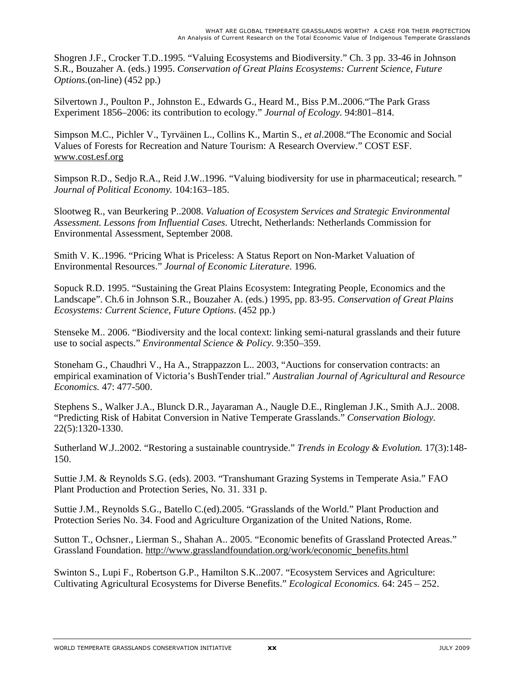Shogren J.F., Crocker T.D..1995. "Valuing Ecosystems and Biodiversity." Ch. 3 pp. 33-46 in Johnson S.R., Bouzaher A. (eds.) 1995. *Conservation of Great Plains Ecosystems: Current Science, Future Options.*(on-line) (452 pp.)

Silvertown J., Poulton P., Johnston E., Edwards G., Heard M., Biss P.M..2006."The Park Grass Experiment 1856–2006: its contribution to ecology." *Journal of Ecology.* 94:801–814.

Simpson M.C., Pichler V., Tyrväinen L., Collins K., Martin S., *et al*.2008."The Economic and Social Values of Forests for Recreation and Nature Tourism: A Research Overview." COST ESF. www.cost.esf.org

Simpson R.D., Sedjo R.A., Reid J.W..1996. "Valuing biodiversity for use in pharmaceutical; research*." Journal of Political Economy.* 104:163–185.

Slootweg R., van Beurkering P..2008. *Valuation of Ecosystem Services and Strategic Environmental Assessment. Lessons from Influential Cases.* Utrecht, Netherlands: Netherlands Commission for Environmental Assessment, September 2008.

Smith V. K..1996. "Pricing What is Priceless: A Status Report on Non-Market Valuation of Environmental Resources." *Journal of Economic Literature*. 1996.

Sopuck R.D. 1995. "Sustaining the Great Plains Ecosystem: Integrating People, Economics and the Landscape". Ch.6 in Johnson S.R., Bouzaher A. (eds.) 1995, pp. 83-95. *Conservation of Great Plains Ecosystems: Current Science, Future Options*. (452 pp.)

Stenseke M.. 2006. "Biodiversity and the local context: linking semi-natural grasslands and their future use to social aspects." *Environmental Science & Policy*. 9:350–359.

Stoneham G., Chaudhri V., Ha A., Strappazzon L.. 2003, "Auctions for conservation contracts: an empirical examination of Victoria's BushTender trial." *Australian Journal of Agricultural and Resource Economics.* 47: 477-500.

Stephens S., Walker J.A., Blunck D.R., Jayaraman A., Naugle D.E., Ringleman J.K., Smith A.J.. 2008. "Predicting Risk of Habitat Conversion in Native Temperate Grasslands." *Conservation Biology.*  22(5):1320-1330.

Sutherland W.J..2002. "Restoring a sustainable countryside." *Trends in Ecology & Evolution.* 17(3):148- 150.

Suttie J.M. & Reynolds S.G. (eds). 2003. "Transhumant Grazing Systems in Temperate Asia." FAO Plant Production and Protection Series, No. 31. 331 p.

Suttie J.M., Reynolds S.G., Batello C.(ed).2005. "Grasslands of the World." Plant Production and Protection Series No. 34. Food and Agriculture Organization of the United Nations, Rome.

Sutton T., Ochsner., Lierman S., Shahan A.. 2005. "Economic benefits of Grassland Protected Areas." Grassland Foundation. http://www.grasslandfoundation.org/work/economic\_benefits.html

Swinton S., Lupi F., Robertson G.P., Hamilton S.K..2007. "Ecosystem Services and Agriculture: Cultivating Agricultural Ecosystems for Diverse Benefits." *Ecological Economics.* 64: 245 – 252.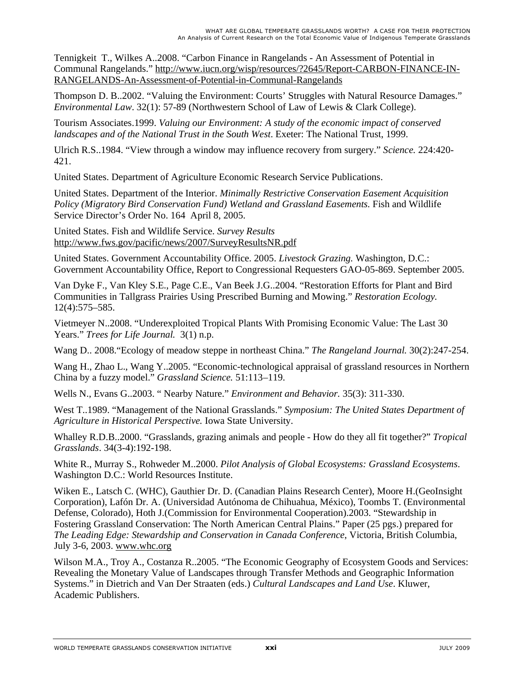Tennigkeit T., Wilkes A..2008. "Carbon Finance in Rangelands - An Assessment of Potential in Communal Rangelands." http://www.iucn.org/wisp/resources/?2645/Report-CARBON-FINANCE-IN-RANGELANDS-An-Assessment-of-Potential-in-Communal-Rangelands

Thompson D. B..2002. "Valuing the Environment: Courts' Struggles with Natural Resource Damages." *Environmental Law*. 32(1): 57-89 (Northwestern School of Law of Lewis & Clark College).

Tourism Associates.1999. *Valuing our Environment: A study of the economic impact of conserved landscapes and of the National Trust in the South West*. Exeter: The National Trust, 1999.

Ulrich R.S..1984. "View through a window may influence recovery from surgery." *Science.* 224:420- 421.

United States. Department of Agriculture Economic Research Service Publications.

United States. Department of the Interior. *Minimally Restrictive Conservation Easement Acquisition Policy (Migratory Bird Conservation Fund) Wetland and Grassland Easements.* Fish and Wildlife Service Director's Order No. 164 April 8, 2005.

United States. Fish and Wildlife Service. *Survey Results* http://www.fws.gov/pacific/news/2007/SurveyResultsNR.pdf

United States. Government Accountability Office. 2005. *Livestock Grazing.* Washington, D.C.: Government Accountability Office, Report to Congressional Requesters GAO-05-869. September 2005.

Van Dyke F., Van Kley S.E., Page C.E., Van Beek J.G..2004. "Restoration Efforts for Plant and Bird Communities in Tallgrass Prairies Using Prescribed Burning and Mowing." *Restoration Ecology.* 12(4):575–585.

Vietmeyer N..2008. "Underexploited Tropical Plants With Promising Economic Value: The Last 30 Years." *Trees for Life Journal.* 3(1) n.p.

Wang D.. 2008."Ecology of meadow steppe in northeast China." *The Rangeland Journal.* 30(2):247-254.

Wang H., Zhao L., Wang Y..2005. "Economic-technological appraisal of grassland resources in Northern China by a fuzzy model." *Grassland Science.* 51:113–119.

Wells N., Evans G..2003. " Nearby Nature." *Environment and Behavior.* 35(3): 311-330.

West T..1989. "Management of the National Grasslands." *Symposium: The United States Department of Agriculture in Historical Perspective.* Iowa State University.

Whalley R.D.B..2000. "Grasslands, grazing animals and people - How do they all fit together?" *Tropical Grasslands*. 34(3-4):192-198.

White R., Murray S., Rohweder M..2000. *Pilot Analysis of Global Ecosystems: Grassland Ecosystems*. Washington D.C.: World Resources Institute.

Wiken E., Latsch C. (WHC), Gauthier Dr. D. (Canadian Plains Research Center), Moore H.(GeoInsight Corporation), Lafón Dr. A. (Universidad Autónoma de Chihuahua, México), Toombs T. (Environmental Defense, Colorado), Hoth J.(Commission for Environmental Cooperation).2003. "Stewardship in Fostering Grassland Conservation: The North American Central Plains." Paper (25 pgs.) prepared for *The Leading Edge: Stewardship and Conservation in Canada Conference*, Victoria, British Columbia, July 3-6, 2003. www.whc.org

Wilson M.A., Troy A., Costanza R..2005. "The Economic Geography of Ecosystem Goods and Services: Revealing the Monetary Value of Landscapes through Transfer Methods and Geographic Information Systems." in Dietrich and Van Der Straaten (eds.) *Cultural Landscapes and Land Use*. Kluwer, Academic Publishers.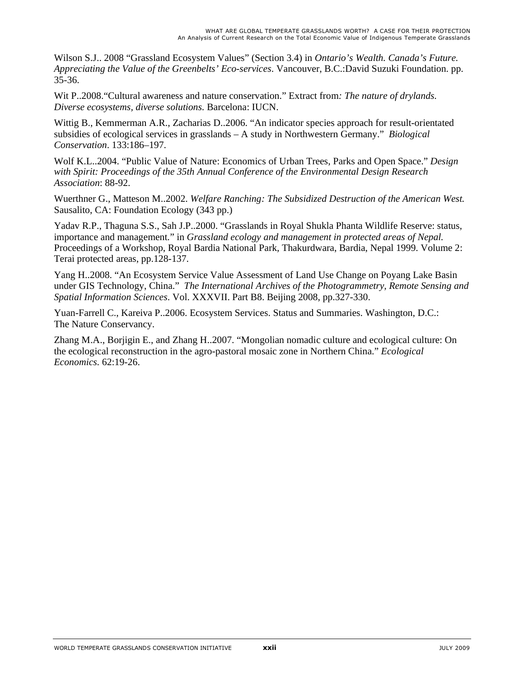Wilson S.J.. 2008 "Grassland Ecosystem Values" (Section 3.4) in *Ontario's Wealth. Canada's Future. Appreciating the Value of the Greenbelts' Eco-services*. Vancouver, B.C.:David Suzuki Foundation. pp. 35-36.

Wit P..2008."Cultural awareness and nature conservation." Extract from*: The nature of drylands. Diverse ecosystems, diverse solutions.* Barcelona: IUCN.

Wittig B., Kemmerman A.R., Zacharias D..2006. "An indicator species approach for result-orientated subsidies of ecological services in grasslands – A study in Northwestern Germany." *Biological Conservation*. 133:186–197.

Wolf K.L..2004. "Public Value of Nature: Economics of Urban Trees, Parks and Open Space." *Design with Spirit: Proceedings of the 35th Annual Conference of the Environmental Design Research Association*: 88-92.

Wuerthner G., Matteson M..2002. *Welfare Ranching: The Subsidized Destruction of the American West.* Sausalito, CA: Foundation Ecology (343 pp.)

Yadav R.P., Thaguna S.S., Sah J.P..2000. "Grasslands in Royal Shukla Phanta Wildlife Reserve: status, importance and management." in *Grassland ecology and management in protected areas of Nepal.*  Proceedings of a Workshop, Royal Bardia National Park*,* Thakurdwara, Bardia, Nepal 1999. Volume 2: Terai protected areas, pp.128-137.

Yang H..2008. "An Ecosystem Service Value Assessment of Land Use Change on Poyang Lake Basin under GIS Technology, China." *The International Archives of the Photogrammetry, Remote Sensing and Spatial Information Sciences*. Vol. XXXVII. Part B8. Beijing 2008, pp.327-330.

Yuan-Farrell C., Kareiva P..2006. Ecosystem Services. Status and Summaries. Washington, D.C.: The Nature Conservancy.

Zhang M.A., Borjigin E., and Zhang H..2007. "Mongolian nomadic culture and ecological culture: On the ecological reconstruction in the agro-pastoral mosaic zone in Northern China." *Ecological Economics.* 62:19-26.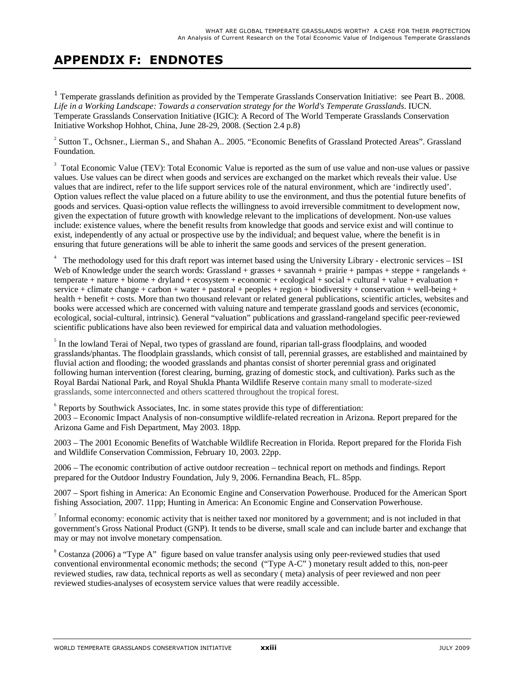## **APPENDIX F: ENDNOTES**

<sup>1</sup> Temperate grasslands definition as provided by the Temperate Grasslands Conservation Initiative: see Peart B.. 2008. *Life in a Working Landscape: Towards a conservation strategy for the World's Temperate Grasslands*. IUCN. Temperate Grasslands Conservation Initiative (IGIC): A Record of The World Temperate Grasslands Conservation Initiative Workshop Hohhot, China, June 28-29, 2008. (Section 2.4 p.8)

 $2^{2}$  Sutton T., Ochsner., Lierman S., and Shahan A.. 2005. "Economic Benefits of Grassland Protected Areas". Grassland Foundation.

<sup>3</sup> Total Economic Value (TEV): Total Economic Value is reported as the sum of use value and non-use values or passive values. Use values can be direct when goods and services are exchanged on the market which reveals their value. Use values that are indirect, refer to the life support services role of the natural environment, which are 'indirectly used'. Option values reflect the value placed on a future ability to use the environment, and thus the potential future benefits of goods and services. Quasi-option value reflects the willingness to avoid irreversible commitment to development now, given the expectation of future growth with knowledge relevant to the implications of development. Non-use values include: existence values, where the benefit results from knowledge that goods and service exist and will continue to exist, independently of any actual or prospective use by the individual; and bequest value, where the benefit is in ensuring that future generations will be able to inherit the same goods and services of the present generation.

<sup>4</sup> The methodology used for this draft report was internet based using the University Library - electronic services – ISI Web of Knowledge under the search words: Grassland + grasses + savannah + prairie + pampas + steppe + rangelands +  $temperature + biome + dryland + ecosystem + economic + ecological + social +r,$ <br> $t = 0$  +  $c = 0$  +  $c = 0$  +  $c = 0$  +  $c = 0$  +  $c = 0$  +  $c = 0$  +  $c = 0$  +  $c = 0$  +  $c = 0$  +  $c = 0$  +  $c = 0$  +  $c = 0$  +  $c = 0$  +  $c = 0$  +  $c = 0$  +  $c = 0$  +  $c = 0$  +  $c = 0$  +  $c = 0$  +  $c = 0$  +  $c = 0$  +  $c$ service + climate change + carbon + water + pastoral + peoples + region + biodiversity + conservation + well-being + health + benefit + costs. More than two thousand relevant or related general publications, scientific articles, websites and books were accessed which are concerned with valuing nature and temperate grassland goods and services (economic, ecological, social-cultural, intrinsic). General "valuation" publications and grassland-rangeland specific peer-reviewed scientific publications have also been reviewed for empirical data and valuation methodologies.

<sup>5</sup> In the lowland Terai of Nepal, two types of grassland are found, riparian tall-grass floodplains, and wooded grasslands/phantas. The floodplain grasslands, which consist of tall, perennial grasses, are established and maintained by fluvial action and flooding; the wooded grasslands and phantas consist of shorter perennial grass and originated following human intervention (forest clearing, burning, grazing of domestic stock, and cultivation). Parks such as the Royal Bardai National Park, and Royal Shukla Phanta Wildlife Reserve contain many small to moderate-sized grasslands, some interconnected and others scattered throughout the tropical forest.

 $6$  Reports by Southwick Associates, Inc. in some states provide this type of differentiation: 2003 – Economic Impact Analysis of non-consumptive wildlife-related recreation in Arizona. Report prepared for the Arizona Game and Fish Department, May 2003. 18pp.

2003 – The 2001 Economic Benefits of Watchable Wildlife Recreation in Florida. Report prepared for the Florida Fish and Wildlife Conservation Commission, February 10, 2003. 22pp.

2006 – The economic contribution of active outdoor recreation – technical report on methods and findings. Report prepared for the Outdoor Industry Foundation, July 9, 2006. Fernandina Beach, FL. 85pp.

2007 – Sport fishing in America: An Economic Engine and Conservation Powerhouse. Produced for the American Sport fishing Association, 2007. 11pp; Hunting in America: An Economic Engine and Conservation Powerhouse.

Informal economy: economic activity that is neither taxed nor monitored by a government; and is not included in that government's Gross National Product (GNP). It tends to be diverse, small scale and can include barter and exchange that may or may not involve monetary compensation.

 $8$  Costanza (2006) a "Type A" figure based on value transfer analysis using only peer-reviewed studies that used conventional environmental economic methods; the second ("Type A-C" ) monetary result added to this, non-peer reviewed studies, raw data, technical reports as well as secondary ( meta) analysis of peer reviewed and non peer reviewed studies-analyses of ecosystem service values that were readily accessible.